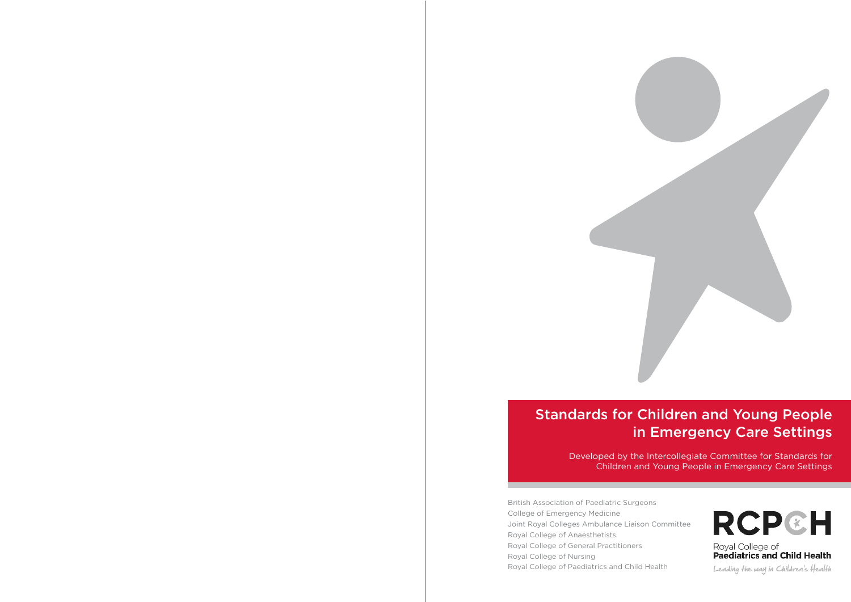

### Standards for Children and Young People in Emergency Care Settings

Developed by the Intercollegiate Committee for Standards for Children and Young People in Emergency Care Settings

British Association of Paediatric Surgeons College of Emergency Medicine Joint Royal Colleges Ambulance Liaison Committee Royal College of Anaesthetists Royal College of General Practitioners Royal College of Nursing Royal College of Paediatrics and Child Health

# **RCP&H**

Royal College of **Paediatrics and Child Health** 

Leading the way in Children's Health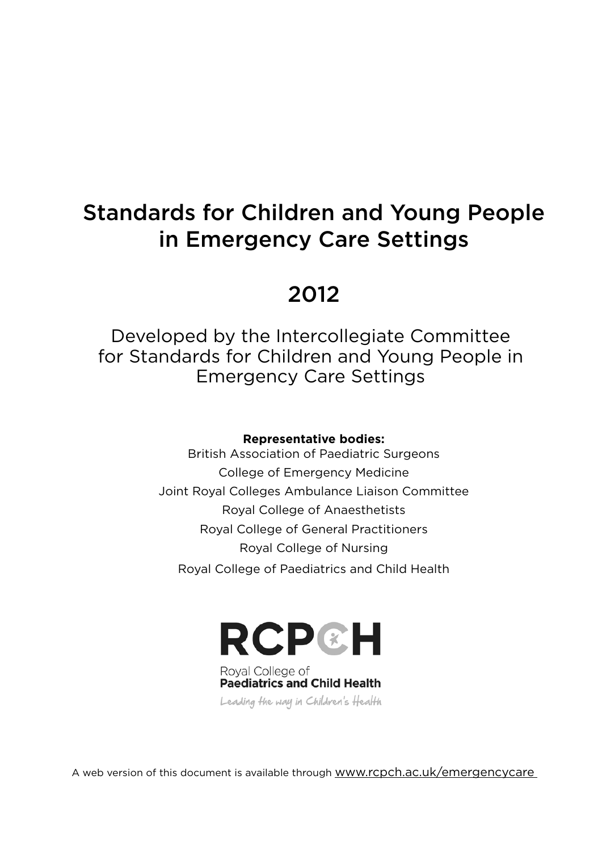# Standards for Children and Young People in Emergency Care Settings

### 2012

Developed by the Intercollegiate Committee for Standards for Children and Young People in Emergency Care Settings

### **Representative bodies:**

British Association of Paediatric Surgeons College of Emergency Medicine Joint Royal Colleges Ambulance Liaison Committee Royal College of Anaesthetists Royal College of General Practitioners Royal College of Nursing Royal College of Paediatrics and Child Health



Royal College of **Paediatrics and Child Health** Leading the way in Children's Health

A web version of this document is available through <www.rcpch.ac.uk/emergencycare>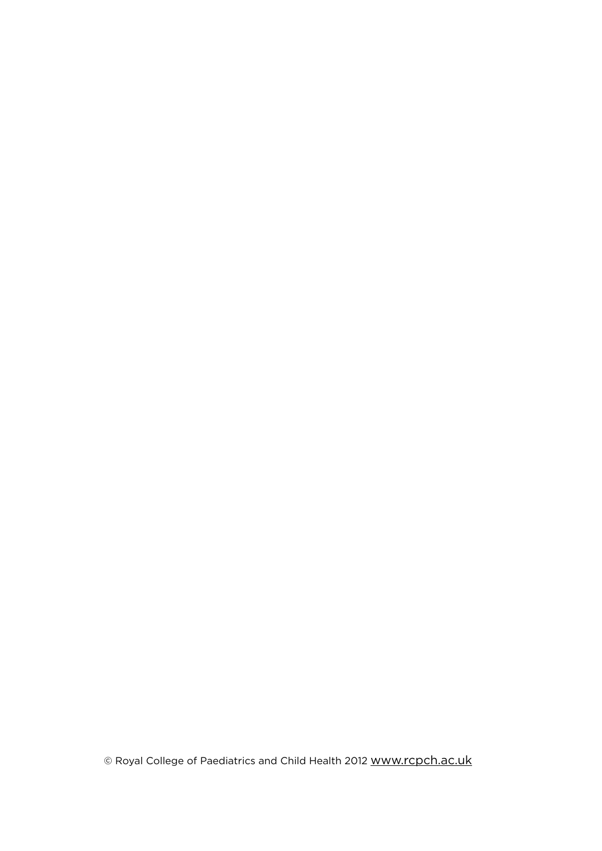© Royal College of Paediatrics and Child Health 2012 <www.rcpch.ac.uk>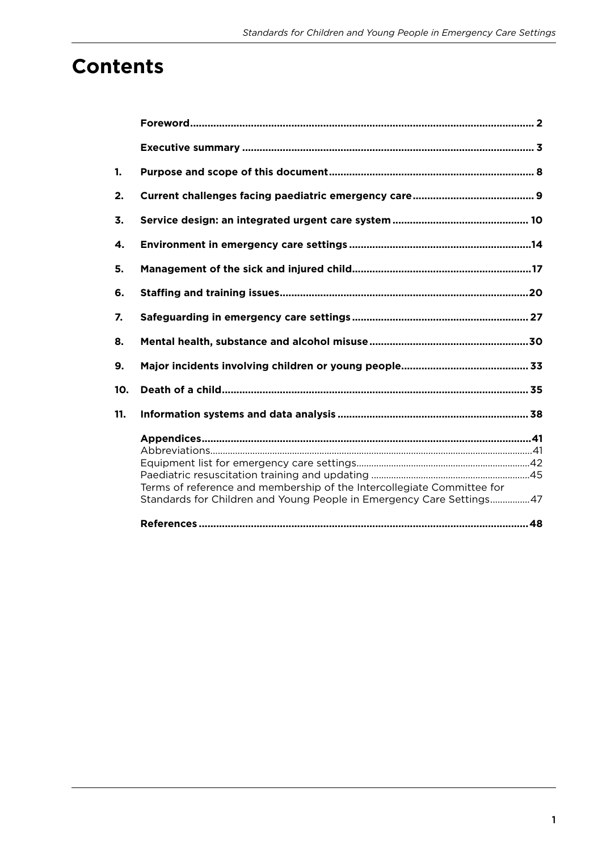### **Contents**

| 1.  |                                                                                                                                                |  |
|-----|------------------------------------------------------------------------------------------------------------------------------------------------|--|
| 2.  |                                                                                                                                                |  |
| 3.  |                                                                                                                                                |  |
| 4.  |                                                                                                                                                |  |
| 5.  |                                                                                                                                                |  |
| 6.  |                                                                                                                                                |  |
| 7.  |                                                                                                                                                |  |
| 8.  |                                                                                                                                                |  |
| 9.  |                                                                                                                                                |  |
| 10. |                                                                                                                                                |  |
| 11. |                                                                                                                                                |  |
|     |                                                                                                                                                |  |
|     |                                                                                                                                                |  |
|     |                                                                                                                                                |  |
|     |                                                                                                                                                |  |
|     | Terms of reference and membership of the Intercollegiate Committee for<br>Standards for Children and Young People in Emergency Care Settings47 |  |
|     |                                                                                                                                                |  |
|     |                                                                                                                                                |  |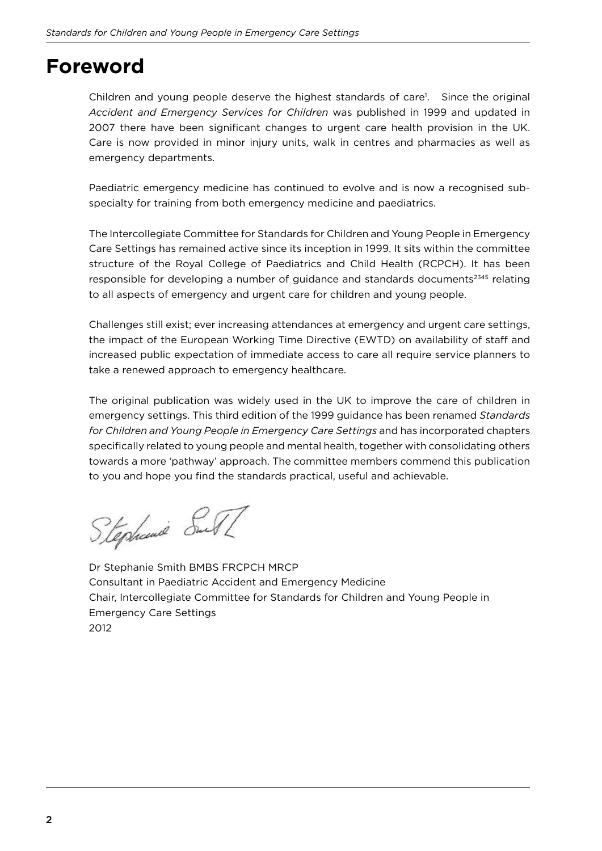### **Foreword**

Children and young people deserve the highest standards of care<sup>1</sup>. Since the original *Accident and Emergency Services for Children* was published in 1999 and updated in 2007 there have been significant changes to urgent care health provision in the UK. Care is now provided in minor injury units, walk in centres and pharmacies as well as emergency departments.

Paediatric emergency medicine has continued to evolve and is now a recognised subspecialty for training from both emergency medicine and paediatrics.

The Intercollegiate Committee for Standards for Children and Young People in Emergency Care Settings has remained active since its inception in 1999. It sits within the committee structure of the Royal College of Paediatrics and Child Health (RCPCH). It has been responsible for developing a number of guidance and standards documents<sup>2345</sup> relating to all aspects of emergency and urgent care for children and young people.

Challenges still exist; ever increasing attendances at emergency and urgent care settings, the impact of the European Working Time Directive (EWTD) on availability of staff and increased public expectation of immediate access to care all require service planners to take a renewed approach to emergency healthcare.

The original publication was widely used in the UK to improve the care of children in emergency settings. This third edition of the 1999 guidance has been renamed *Standards for Children and Young People in Emergency Care Settings* and has incorporated chapters specifically related to young people and mental health, together with consolidating others towards a more 'pathway' approach. The committee members commend this publication to you and hope you find the standards practical, useful and achievable.

Stephanie SuTI

Dr Stephanie Smith BMBS FRCPCH MRCP Consultant in Paediatric Accident and Emergency Medicine Chair, Intercollegiate Committee for Standards for Children and Young People in Emergency Care Settings 2012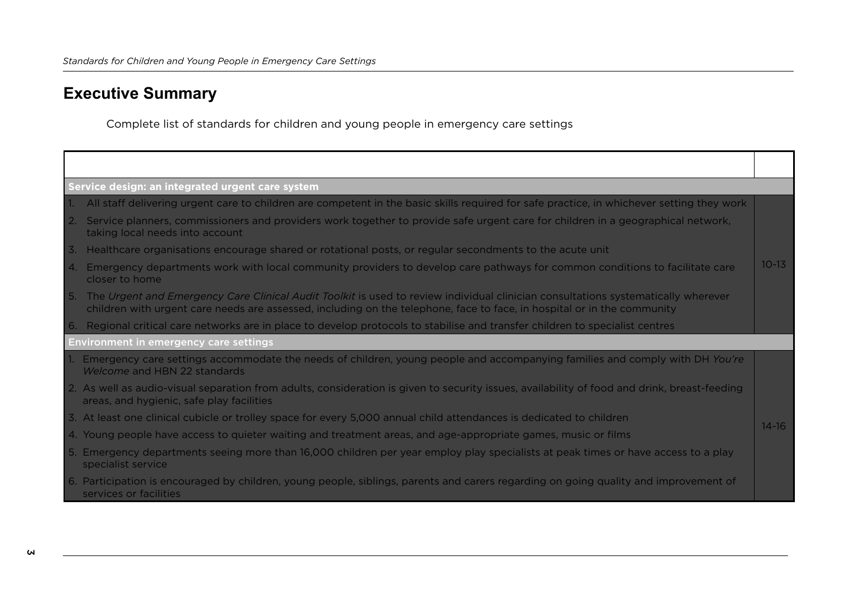### **Executive Summary**

Complete list of standards for children and young people in emergency care settings

|    | Service design: an integrated urgent care system                                                                                                                                                                                                             |           |
|----|--------------------------------------------------------------------------------------------------------------------------------------------------------------------------------------------------------------------------------------------------------------|-----------|
|    | All staff delivering urgent care to children are competent in the basic skills required for safe practice, in whichever setting they work                                                                                                                    |           |
| 2. | Service planners, commissioners and providers work together to provide safe urgent care for children in a geographical network,<br>taking local needs into account                                                                                           |           |
| 3. | Healthcare organisations encourage shared or rotational posts, or regular secondments to the acute unit                                                                                                                                                      |           |
| 4. | Emergency departments work with local community providers to develop care pathways for common conditions to facilitate care<br>closer to home                                                                                                                | $10 - 13$ |
| 5. | The Urgent and Emergency Care Clinical Audit Toolkit is used to review individual clinician consultations systematically wherever<br>children with urgent care needs are assessed, including on the telephone, face to face, in hospital or in the community |           |
| 6. | Regional critical care networks are in place to develop protocols to stabilise and transfer children to specialist centres                                                                                                                                   |           |
|    | <b>Environment in emergency care settings</b>                                                                                                                                                                                                                |           |
|    | 1. Emergency care settings accommodate the needs of children, young people and accompanying families and comply with DH You're<br>Welcome and HBN 22 standards                                                                                               |           |
|    | 2. As well as audio-visual separation from adults, consideration is given to security issues, availability of food and drink, breast-feeding<br>areas, and hygienic, safe play facilities                                                                    |           |
|    | 3. At least one clinical cubicle or trolley space for every 5,000 annual child attendances is dedicated to children                                                                                                                                          | $14 - 16$ |
|    | 4. Young people have access to quieter waiting and treatment areas, and age-appropriate games, music or films                                                                                                                                                |           |
|    | 5. Emergency departments seeing more than 16,000 children per year employ play specialists at peak times or have access to a play<br>specialist service                                                                                                      |           |
|    | 6. Participation is encouraged by children, young people, siblings, parents and carers regarding on going quality and improvement of<br>services or facilities                                                                                               |           |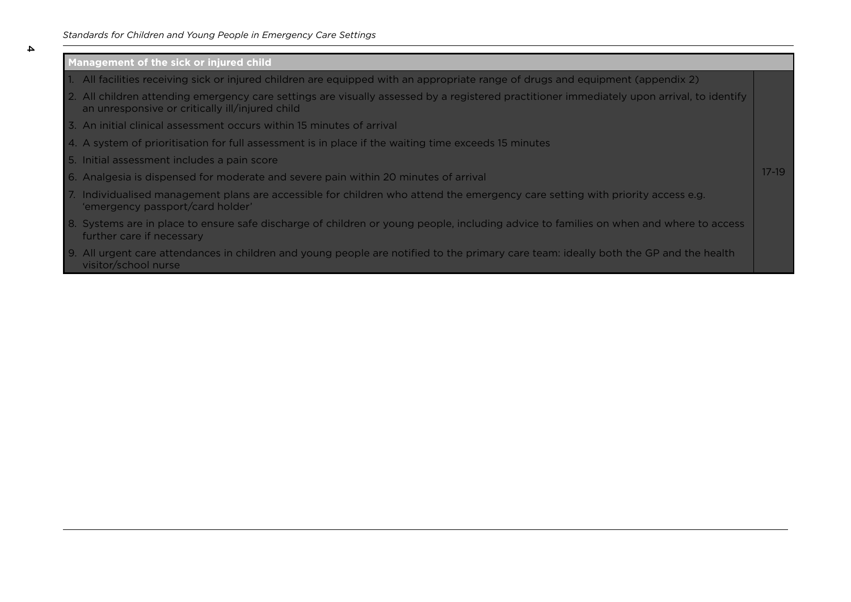#### *Standards for Children and Young People in Emergency Care Settings*

#### **Management of the sick or injured child**

 $\Delta$ 

- 1. All facilities receiving sick or injured children are equipped with an appropriate range of drugs and equipment (appendix 2)
- 2. All children attending emergency care settings are visually assessed by a registered practitioner immediately upon arrival, to identify an unresponsive or critically ill/injured child
- 3. An initial clinical assessment occurs within 15 minutes of arrival
- 4. A system of prioritisation for full assessment is in place if the waiting time exceeds 15 minutes
- 5. Initial assessment includes a pain score
- 6. Analgesia is dispensed for moderate and severe pain within 20 minutes of arrival
- 7. Individualised management plans are accessible for children who attend the emergency care setting with priority access e.g. 'emergency passport/card holder'
- 8. Systems are in place to ensure safe discharge of children or young people, including advice to families on when and where to access further care if necessary

17-19

9. All urgent care attendances in children and young people are notified to the primary care team: ideally both the GP and the health visitor/school nurse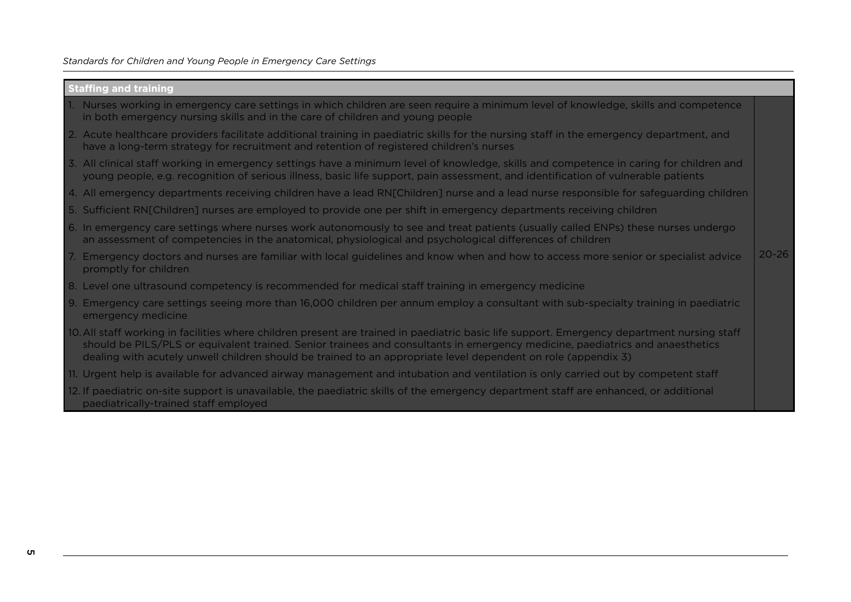| <b>Staffing and training</b> |  |  |
|------------------------------|--|--|
|                              |  |  |

- 1. Nurses working in emergency care settings in which children are seen require a minimum level of knowledge, skills and competence in both emergency nursing skills and in the care of children and young people
- 2. Acute healthcare providers facilitate additional training in paediatric skills for the nursing staff in the emergency department, and have a long-term strategy for recruitment and retention of registered children's nurses
- 3. All clinical staff working in emergency settings have a minimum level of knowledge, skills and competence in caring for children and young people, e.g. recognition of serious illness, basic life support, pain assessment, and identiication of vulnerable patients
- 4. All emergency departments receiving children have a lead RN[Children] nurse and a lead nurse responsible for safeguarding children
- 5. Sufficient RN[Children] nurses are employed to provide one per shift in emergency departments receiving children
- 6. In emergency care settings where nurses work autonomously to see and treat patients (usually called ENPs) these nurses undergo an assessment of competencies in the anatomical, physiological and psychological diferences of children
- 7. Emergency doctors and nurses are familiar with local guidelines and know when and how to access more senior or specialist advice promptly for children 20-26
- 8. Level one ultrasound competency is recommended for medical staff training in emergency medicine
- 9. Emergency care settings seeing more than 16,000 children per annum employ a consultant with sub-specialty training in paediatric emergency medicine
- 10. All staf working in facilities where children present are trained in paediatric basic life support. Emergency department nursing staf should be PILS/PLS or equivalent trained. Senior trainees and consultants in emergency medicine, paediatrics and anaesthetics dealing with acutely unwell children should be trained to an appropriate level dependent on role (appendix 3)
- 11. Urgent help is available for advanced airway management and intubation and ventilation is only carried out by competent staf
- 12. If paediatric on-site support is unavailable, the paediatric skills of the emergency department staff are enhanced, or additional paediatrically-trained staff employed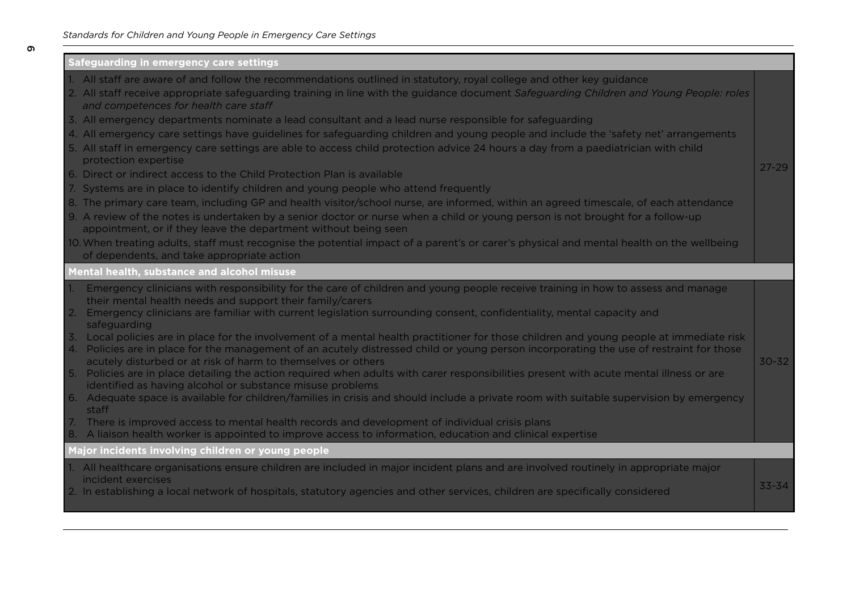| Safeguarding in emergency care settings                                                                                                                                                                                                                                                                                                                                                                                                                                                                                                                                                                                                                                                                                                                                                                                                                                                                                                                                                                                                                                                                                                                                                                                                                                     |           |
|-----------------------------------------------------------------------------------------------------------------------------------------------------------------------------------------------------------------------------------------------------------------------------------------------------------------------------------------------------------------------------------------------------------------------------------------------------------------------------------------------------------------------------------------------------------------------------------------------------------------------------------------------------------------------------------------------------------------------------------------------------------------------------------------------------------------------------------------------------------------------------------------------------------------------------------------------------------------------------------------------------------------------------------------------------------------------------------------------------------------------------------------------------------------------------------------------------------------------------------------------------------------------------|-----------|
| 1. All staff are aware of and follow the recommendations outlined in statutory, royal college and other key guidance<br>2. All staff receive appropriate safeguarding training in line with the guidance document Safeguarding Children and Young People: roles<br>and competences for health care staff                                                                                                                                                                                                                                                                                                                                                                                                                                                                                                                                                                                                                                                                                                                                                                                                                                                                                                                                                                    |           |
| 3. All emergency departments nominate a lead consultant and a lead nurse responsible for safeguarding<br>4. All emergency care settings have guidelines for safeguarding children and young people and include the 'safety net' arrangements<br>5. All staff in emergency care settings are able to access child protection advice 24 hours a day from a paediatrician with child<br>protection expertise                                                                                                                                                                                                                                                                                                                                                                                                                                                                                                                                                                                                                                                                                                                                                                                                                                                                   | $27 - 29$ |
| 6. Direct or indirect access to the Child Protection Plan is available                                                                                                                                                                                                                                                                                                                                                                                                                                                                                                                                                                                                                                                                                                                                                                                                                                                                                                                                                                                                                                                                                                                                                                                                      |           |
| 7. Systems are in place to identify children and young people who attend frequently                                                                                                                                                                                                                                                                                                                                                                                                                                                                                                                                                                                                                                                                                                                                                                                                                                                                                                                                                                                                                                                                                                                                                                                         |           |
| 8. The primary care team, including GP and health visitor/school nurse, are informed, within an agreed timescale, of each attendance<br>9. A review of the notes is undertaken by a senior doctor or nurse when a child or young person is not brought for a follow-up<br>appointment, or if they leave the department without being seen                                                                                                                                                                                                                                                                                                                                                                                                                                                                                                                                                                                                                                                                                                                                                                                                                                                                                                                                   |           |
| 10. When treating adults, staff must recognise the potential impact of a parent's or carer's physical and mental health on the wellbeing<br>of dependents, and take appropriate action                                                                                                                                                                                                                                                                                                                                                                                                                                                                                                                                                                                                                                                                                                                                                                                                                                                                                                                                                                                                                                                                                      |           |
| Mental health, substance and alcohol misuse                                                                                                                                                                                                                                                                                                                                                                                                                                                                                                                                                                                                                                                                                                                                                                                                                                                                                                                                                                                                                                                                                                                                                                                                                                 |           |
| Emergency clinicians with responsibility for the care of children and young people receive training in how to assess and manage<br>their mental health needs and support their family/carers<br>Emergency clinicians are familiar with current legislation surrounding consent, confidentiality, mental capacity and<br>2.<br>safeguarding<br>Local policies are in place for the involvement of a mental health practitioner for those children and young people at immediate risk<br>4. Policies are in place for the management of an acutely distressed child or young person incorporating the use of restraint for those<br>acutely disturbed or at risk of harm to themselves or others<br>5. Policies are in place detailing the action required when adults with carer responsibilities present with acute mental illness or are<br>identified as having alcohol or substance misuse problems<br>6. Adequate space is available for children/families in crisis and should include a private room with suitable supervision by emergency<br>staff<br>There is improved access to mental health records and development of individual crisis plans<br>A liaison health worker is appointed to improve access to information, education and clinical expertise<br>8. | $30 - 32$ |
| Major incidents involving children or young people                                                                                                                                                                                                                                                                                                                                                                                                                                                                                                                                                                                                                                                                                                                                                                                                                                                                                                                                                                                                                                                                                                                                                                                                                          |           |
| 1. All healthcare organisations ensure children are included in major incident plans and are involved routinely in appropriate major<br>incident exercises<br>2. In establishing a local network of hospitals, statutory agencies and other services, children are specifically considered                                                                                                                                                                                                                                                                                                                                                                                                                                                                                                                                                                                                                                                                                                                                                                                                                                                                                                                                                                                  | 33-34     |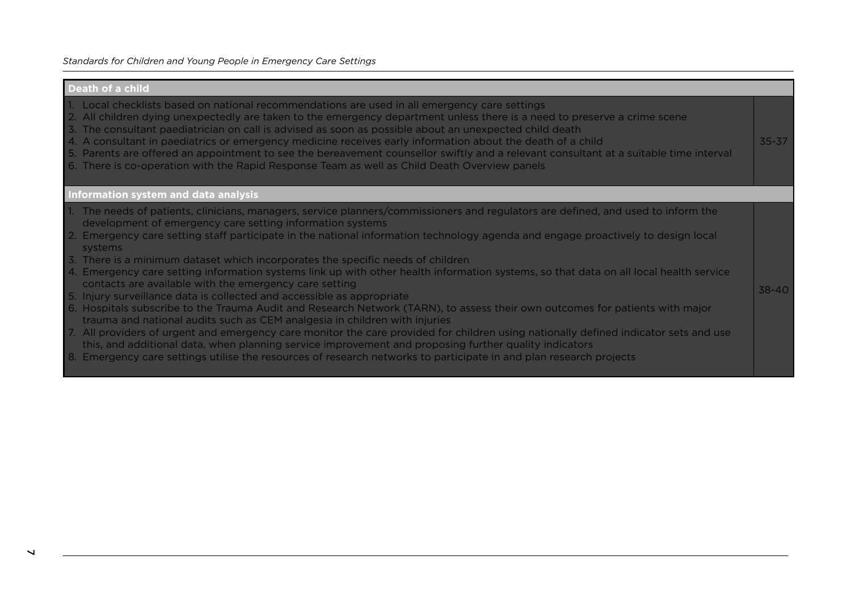#### **Death of a child**

- 1. Local checklists based on national recommendations are used in all emergency care settings
- 2. All children dying unexpectedly are taken to the emergency department unless there is a need to preserve a crime scene
- 3. The consultant paediatrician on call is advised as soon as possible about an unexpected child death
- 4. A consultant in paediatrics or emergency medicine receives early information about the death of a child
- 5. Parents are ofered an appointment to see the bereavement counsellor swiftly and a relevant consultant at a suitable time interval

35-37

38-40

6. There is co-operation with the Rapid Response Team as well as Child Death Overview panels

#### **Information system and data analysis**

- 1. The needs of patients, clinicians, managers, service planners/commissioners and regulators are deined, and used to inform the development of emergency care setting information systems
- 2. Emergency care setting staff participate in the national information technology agenda and engage proactively to design local systems
- 3. There is a minimum dataset which incorporates the speciic needs of children
- 4. Emergency care setting information systems link up with other health information systems, so that data on all local health service contacts are available with the emergency care setting
- 5. Injury surveillance data is collected and accessible as appropriate
- 6. Hospitals subscribe to the Trauma Audit and Research Network (TARN), to assess their own outcomes for patients with major trauma and national audits such as CEM analgesia in children with injuries
- 7. All providers of urgent and emergency care monitor the care provided for children using nationally deined indicator sets and use this, and additional data, when planning service improvement and proposing further quality indicators
- 8. Emergency care settings utilise the resources of research networks to participate in and plan research projects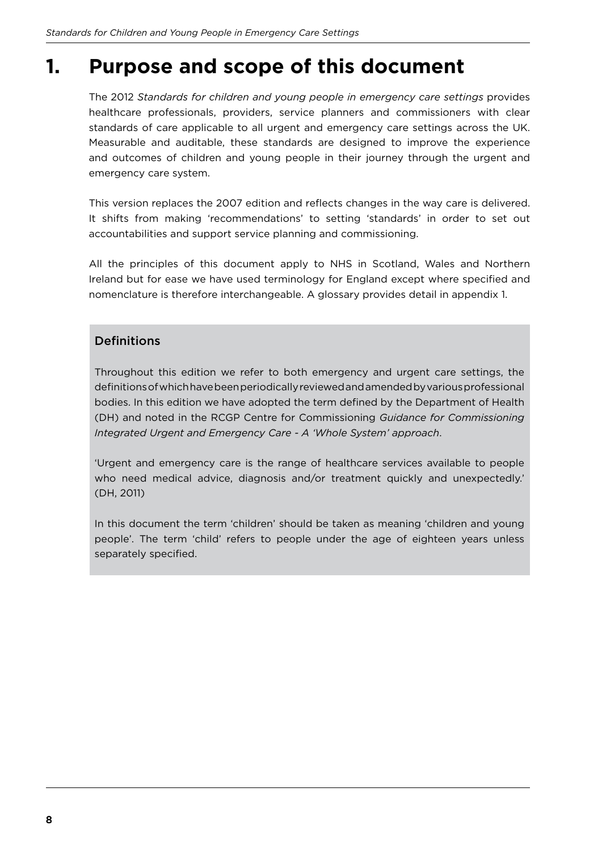### **1. Purpose and scope of this document**

The 2012 *Standards for children and young people in emergency care settings* provides healthcare professionals, providers, service planners and commissioners with clear standards of care applicable to all urgent and emergency care settings across the UK. Measurable and auditable, these standards are designed to improve the experience and outcomes of children and young people in their journey through the urgent and emergency care system.

This version replaces the 2007 edition and reflects changes in the way care is delivered. It shifts from making 'recommendations' to setting 'standards' in order to set out accountabilities and support service planning and commissioning.

All the principles of this document apply to NHS in Scotland, Wales and Northern Ireland but for ease we have used terminology for England except where speciied and nomenclature is therefore interchangeable. A glossary provides detail in appendix 1.

#### **Definitions**

Throughout this edition we refer to both emergency and urgent care settings, the definitions of which have been periodically reviewed and amended by various professional bodies. In this edition we have adopted the term deined by the Department of Health (DH) and noted in the RCGP Centre for Commissioning *Guidance for Commissioning Integrated Urgent and Emergency Care - A 'Whole System' approach*.

'Urgent and emergency care is the range of healthcare services available to people who need medical advice, diagnosis and/or treatment quickly and unexpectedly.' (DH, 2011)

In this document the term 'children' should be taken as meaning 'children and young people'. The term 'child' refers to people under the age of eighteen years unless separately specified.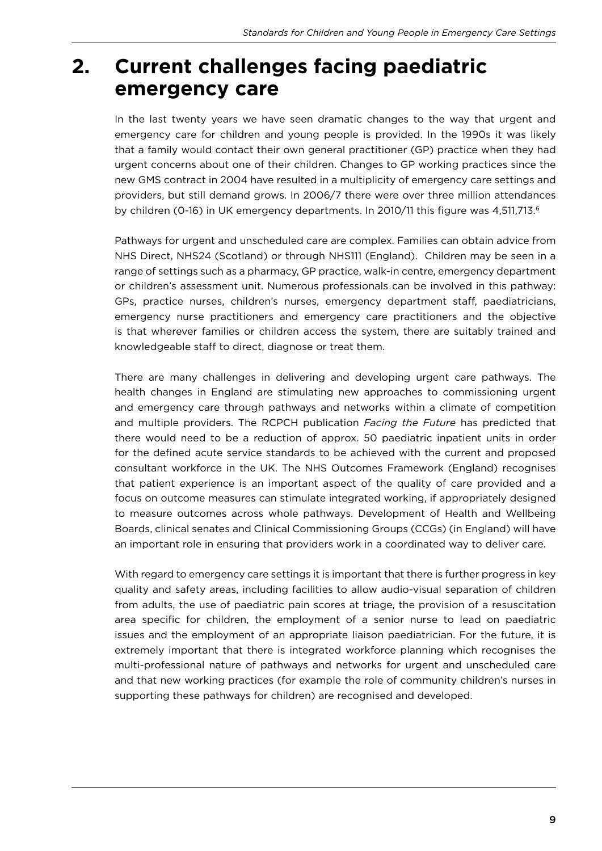### **2. Current challenges facing paediatric emergency care**

In the last twenty years we have seen dramatic changes to the way that urgent and emergency care for children and young people is provided. In the 1990s it was likely that a family would contact their own general practitioner (GP) practice when they had urgent concerns about one of their children. Changes to GP working practices since the new GMS contract in 2004 have resulted in a multiplicity of emergency care settings and providers, but still demand grows. In 2006/7 there were over three million attendances by children (0-16) in UK emergency departments. In 2010/11 this figure was 4,511,713.<sup>6</sup>

Pathways for urgent and unscheduled care are complex. Families can obtain advice from NHS Direct, NHS24 (Scotland) or through NHS111 (England). Children may be seen in a range of settings such as a pharmacy, GP practice, walk-in centre, emergency department or children's assessment unit. Numerous professionals can be involved in this pathway: GPs, practice nurses, children's nurses, emergency department staff, paediatricians, emergency nurse practitioners and emergency care practitioners and the objective is that wherever families or children access the system, there are suitably trained and knowledgeable staff to direct, diagnose or treat them.

There are many challenges in delivering and developing urgent care pathways. The health changes in England are stimulating new approaches to commissioning urgent and emergency care through pathways and networks within a climate of competition and multiple providers. The RCPCH publication *Facing the Future* has predicted that there would need to be a reduction of approx. 50 paediatric inpatient units in order for the defined acute service standards to be achieved with the current and proposed consultant workforce in the UK. The NHS Outcomes Framework (England) recognises that patient experience is an important aspect of the quality of care provided and a focus on outcome measures can stimulate integrated working, if appropriately designed to measure outcomes across whole pathways. Development of Health and Wellbeing Boards, clinical senates and Clinical Commissioning Groups (CCGs) (in England) will have an important role in ensuring that providers work in a coordinated way to deliver care.

With regard to emergency care settings it is important that there is further progress in key quality and safety areas, including facilities to allow audio-visual separation of children from adults, the use of paediatric pain scores at triage, the provision of a resuscitation area specific for children, the employment of a senior nurse to lead on paediatric issues and the employment of an appropriate liaison paediatrician. For the future, it is extremely important that there is integrated workforce planning which recognises the multi-professional nature of pathways and networks for urgent and unscheduled care and that new working practices (for example the role of community children's nurses in supporting these pathways for children) are recognised and developed.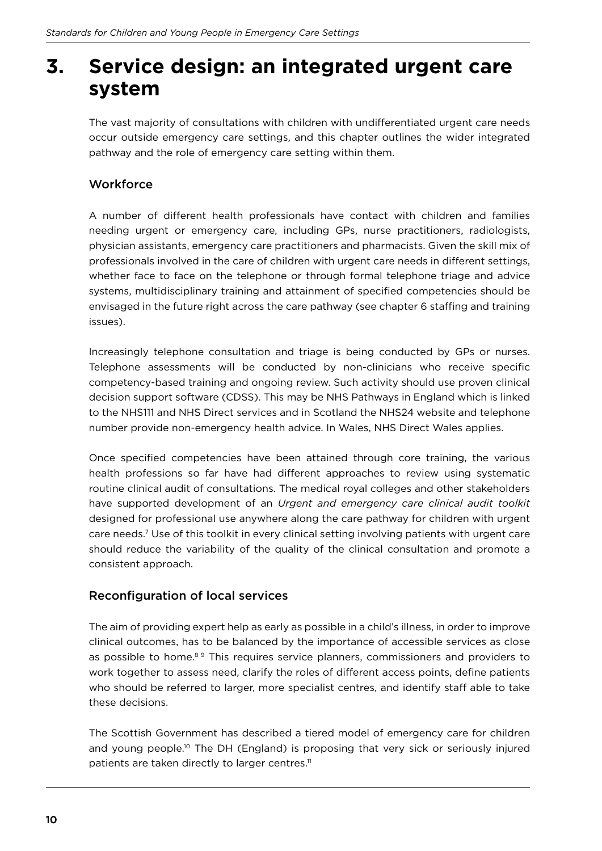### **3. Service design: an integrated urgent care system**

The vast majority of consultations with children with undiferentiated urgent care needs occur outside emergency care settings, and this chapter outlines the wider integrated pathway and the role of emergency care setting within them.

#### **Workforce**

A number of diferent health professionals have contact with children and families needing urgent or emergency care, including GPs, nurse practitioners, radiologists, physician assistants, emergency care practitioners and pharmacists. Given the skill mix of professionals involved in the care of children with urgent care needs in diferent settings, whether face to face on the telephone or through formal telephone triage and advice systems, multidisciplinary training and attainment of specified competencies should be envisaged in the future right across the care pathway (see chapter 6 staffing and training issues).

Increasingly telephone consultation and triage is being conducted by GPs or nurses. Telephone assessments will be conducted by non-clinicians who receive speciic competency-based training and ongoing review. Such activity should use proven clinical decision support software (CDSS). This may be NHS Pathways in England which is linked to the NHS111 and NHS Direct services and in Scotland the NHS24 website and telephone number provide non-emergency health advice. In Wales, NHS Direct Wales applies.

Once specified competencies have been attained through core training, the various health professions so far have had diferent approaches to review using systematic routine clinical audit of consultations. The medical royal colleges and other stakeholders have supported development of an *Urgent and emergency care clinical audit toolkit* designed for professional use anywhere along the care pathway for children with urgent care needs.<sup>7</sup> Use of this toolkit in every clinical setting involving patients with urgent care should reduce the variability of the quality of the clinical consultation and promote a consistent approach.

#### Reconfiguration of local services

The aim of providing expert help as early as possible in a child's illness, in order to improve clinical outcomes, has to be balanced by the importance of accessible services as close as possible to home.<sup>89</sup> This requires service planners, commissioners and providers to work together to assess need, clarify the roles of diferent access points, deine patients who should be referred to larger, more specialist centres, and identify staff able to take these decisions.

The Scottish Government has described a tiered model of emergency care for children and young people.<sup>10</sup> The DH (England) is proposing that very sick or seriously injured patients are taken directly to larger centres.<sup>11</sup>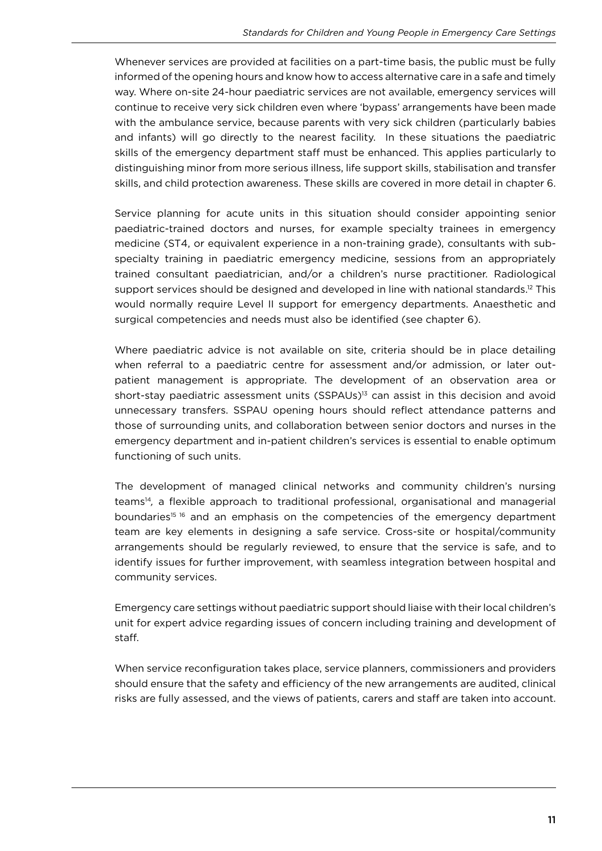Whenever services are provided at facilities on a part-time basis, the public must be fully informed of the opening hours and know how to access alternative care in a safe and timely way. Where on-site 24-hour paediatric services are not available, emergency services will continue to receive very sick children even where 'bypass' arrangements have been made with the ambulance service, because parents with very sick children (particularly babies and infants) will go directly to the nearest facility. In these situations the paediatric skills of the emergency department staff must be enhanced. This applies particularly to distinguishing minor from more serious illness, life support skills, stabilisation and transfer skills, and child protection awareness. These skills are covered in more detail in chapter 6.

Service planning for acute units in this situation should consider appointing senior paediatric-trained doctors and nurses, for example specialty trainees in emergency medicine (ST4, or equivalent experience in a non-training grade), consultants with subspecialty training in paediatric emergency medicine, sessions from an appropriately trained consultant paediatrician, and/or a children's nurse practitioner. Radiological support services should be designed and developed in line with national standards.<sup>12</sup> This would normally require Level II support for emergency departments. Anaesthetic and surgical competencies and needs must also be identified (see chapter 6).

Where paediatric advice is not available on site, criteria should be in place detailing when referral to a paediatric centre for assessment and/or admission, or later outpatient management is appropriate. The development of an observation area or short-stay paediatric assessment units (SSPAUs)<sup>13</sup> can assist in this decision and avoid unnecessary transfers. SSPAU opening hours should reflect attendance patterns and those of surrounding units, and collaboration between senior doctors and nurses in the emergency department and in-patient children's services is essential to enable optimum functioning of such units.

The development of managed clinical networks and community children's nursing teams<sup>14</sup>, a flexible approach to traditional professional, organisational and managerial boundaries<sup>15 16</sup> and an emphasis on the competencies of the emergency department team are key elements in designing a safe service. Cross-site or hospital/community arrangements should be regularly reviewed, to ensure that the service is safe, and to identify issues for further improvement, with seamless integration between hospital and community services.

Emergency care settings without paediatric support should liaise with their local children's unit for expert advice regarding issues of concern including training and development of staf.

When service reconfiguration takes place, service planners, commissioners and providers should ensure that the safety and efficiency of the new arrangements are audited, clinical risks are fully assessed, and the views of patients, carers and staff are taken into account.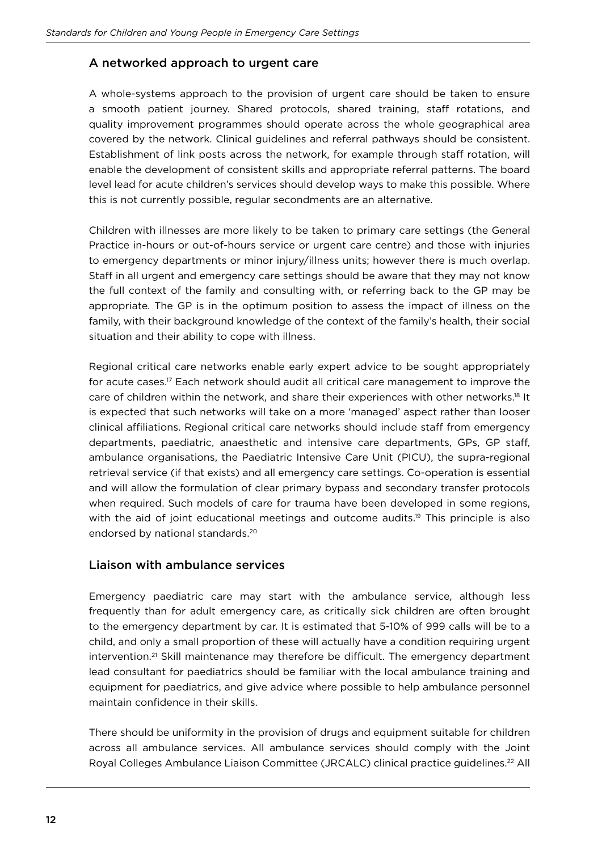#### A networked approach to urgent care

A whole-systems approach to the provision of urgent care should be taken to ensure a smooth patient journey. Shared protocols, shared training, staff rotations, and quality improvement programmes should operate across the whole geographical area covered by the network. Clinical guidelines and referral pathways should be consistent. Establishment of link posts across the network, for example through staff rotation, will enable the development of consistent skills and appropriate referral patterns. The board level lead for acute children's services should develop ways to make this possible. Where this is not currently possible, regular secondments are an alternative.

Children with illnesses are more likely to be taken to primary care settings (the General Practice in-hours or out-of-hours service or urgent care centre) and those with injuries to emergency departments or minor injury/illness units; however there is much overlap. Staff in all urgent and emergency care settings should be aware that they may not know the full context of the family and consulting with, or referring back to the GP may be appropriate. The GP is in the optimum position to assess the impact of illness on the family, with their background knowledge of the context of the family's health, their social situation and their ability to cope with illness.

Regional critical care networks enable early expert advice to be sought appropriately for acute cases.<sup>17</sup> Each network should audit all critical care management to improve the care of children within the network, and share their experiences with other networks.18 It is expected that such networks will take on a more 'managed' aspect rather than looser clinical affiliations. Regional critical care networks should include staff from emergency departments, paediatric, anaesthetic and intensive care departments, GPs, GP staf, ambulance organisations, the Paediatric Intensive Care Unit (PICU), the supra-regional retrieval service (if that exists) and all emergency care settings. Co-operation is essential and will allow the formulation of clear primary bypass and secondary transfer protocols when required. Such models of care for trauma have been developed in some regions, with the aid of joint educational meetings and outcome audits.<sup>19</sup> This principle is also endorsed by national standards.<sup>20</sup>

#### Liaison with ambulance services

Emergency paediatric care may start with the ambulance service, although less frequently than for adult emergency care, as critically sick children are often brought to the emergency department by car. It is estimated that 5-10% of 999 calls will be to a child, and only a small proportion of these will actually have a condition requiring urgent intervention.<sup>21</sup> Skill maintenance may therefore be difficult. The emergency department lead consultant for paediatrics should be familiar with the local ambulance training and equipment for paediatrics, and give advice where possible to help ambulance personnel maintain confidence in their skills.

There should be uniformity in the provision of drugs and equipment suitable for children across all ambulance services. All ambulance services should comply with the Joint Royal Colleges Ambulance Liaison Committee (JRCALC) clinical practice guidelines.22 All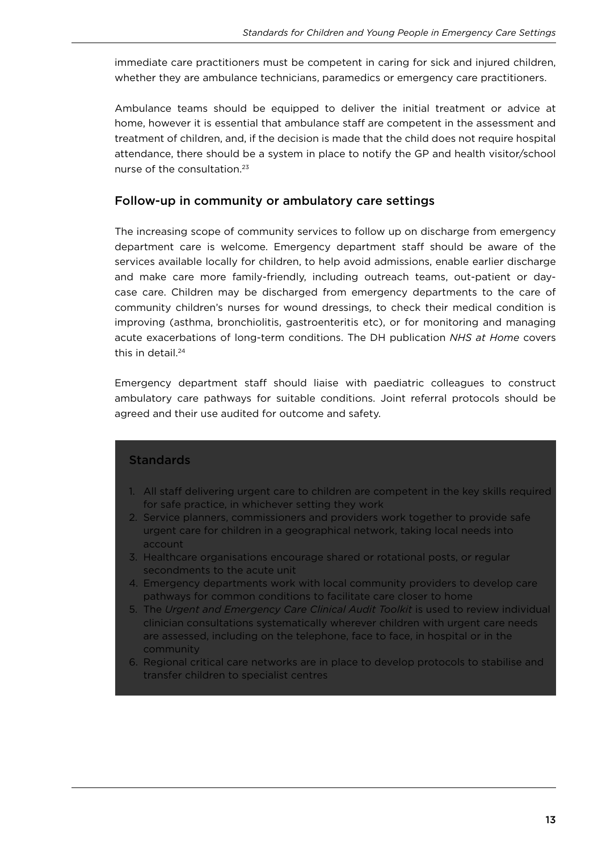immediate care practitioners must be competent in caring for sick and injured children, whether they are ambulance technicians, paramedics or emergency care practitioners.

Ambulance teams should be equipped to deliver the initial treatment or advice at home, however it is essential that ambulance staff are competent in the assessment and treatment of children, and, if the decision is made that the child does not require hospital attendance, there should be a system in place to notify the GP and health visitor/school nurse of the consultation.<sup>23</sup>

#### Follow-up in community or ambulatory care settings

The increasing scope of community services to follow up on discharge from emergency department care is welcome. Emergency department staff should be aware of the services available locally for children, to help avoid admissions, enable earlier discharge and make care more family-friendly, including outreach teams, out-patient or daycase care. Children may be discharged from emergency departments to the care of community children's nurses for wound dressings, to check their medical condition is improving (asthma, bronchiolitis, gastroenteritis etc), or for monitoring and managing acute exacerbations of long-term conditions. The DH publication *NHS at Home* covers this in detail<sup>24</sup>

Emergency department staff should liaise with paediatric colleagues to construct ambulatory care pathways for suitable conditions. Joint referral protocols should be agreed and their use audited for outcome and safety.

#### **Standards**

- 1. All staff delivering urgent care to children are competent in the key skills required for safe practice, in whichever setting they work
- 2. Service planners, commissioners and providers work together to provide safe urgent care for children in a geographical network, taking local needs into account
- 3. Healthcare organisations encourage shared or rotational posts, or regular secondments to the acute unit
- 4. Emergency departments work with local community providers to develop care pathways for common conditions to facilitate care closer to home
- 5. The *Urgent and Emergency Care Clinical Audit Toolkit* is used to review individual clinician consultations systematically wherever children with urgent care needs are assessed, including on the telephone, face to face, in hospital or in the community
- 6. Regional critical care networks are in place to develop protocols to stabilise and transfer children to specialist centres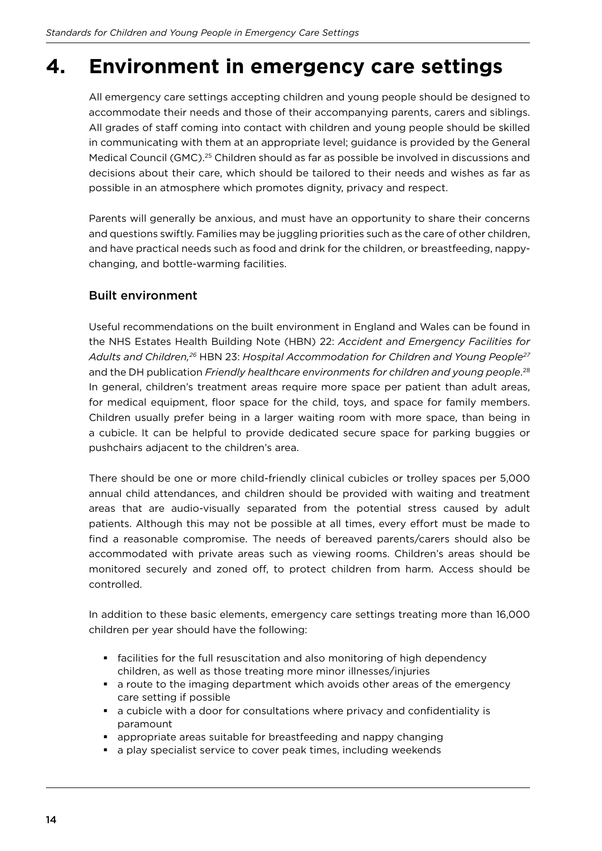### **4. Environment in emergency care settings**

All emergency care settings accepting children and young people should be designed to accommodate their needs and those of their accompanying parents, carers and siblings. All grades of staff coming into contact with children and young people should be skilled in communicating with them at an appropriate level; guidance is provided by the General Medical Council (GMC).25 Children should as far as possible be involved in discussions and decisions about their care, which should be tailored to their needs and wishes as far as possible in an atmosphere which promotes dignity, privacy and respect.

Parents will generally be anxious, and must have an opportunity to share their concerns and questions swiftly. Families may be juggling priorities such as the care of other children, and have practical needs such as food and drink for the children, or breastfeeding, nappychanging, and bottle-warming facilities.

#### Built environment

Useful recommendations on the built environment in England and Wales can be found in the NHS Estates Health Building Note (HBN) 22: *Accident and Emergency Facilities for Adults and Children,26* HBN 23: *Hospital Accommodation for Children and Young People<sup>27</sup>* and the DH publication *Friendly healthcare environments for children and young people.<sup>28</sup>* In general, children's treatment areas require more space per patient than adult areas, for medical equipment, floor space for the child, toys, and space for family members. Children usually prefer being in a larger waiting room with more space, than being in a cubicle. It can be helpful to provide dedicated secure space for parking buggies or pushchairs adjacent to the children's area.

There should be one or more child-friendly clinical cubicles or trolley spaces per 5,000 annual child attendances, and children should be provided with waiting and treatment areas that are audio-visually separated from the potential stress caused by adult patients. Although this may not be possible at all times, every efort must be made to find a reasonable compromise. The needs of bereaved parents/carers should also be accommodated with private areas such as viewing rooms. Children's areas should be monitored securely and zoned off, to protect children from harm. Access should be controlled.

In addition to these basic elements, emergency care settings treating more than 16,000 children per year should have the following:

- § facilities for the full resuscitation and also monitoring of high dependency children, as well as those treating more minor illnesses/injuries
- a route to the imaging department which avoids other areas of the emergency care setting if possible
- a cubicle with a door for consultations where privacy and confidentiality is paramount
- § appropriate areas suitable for breastfeeding and nappy changing
- a play specialist service to cover peak times, including weekends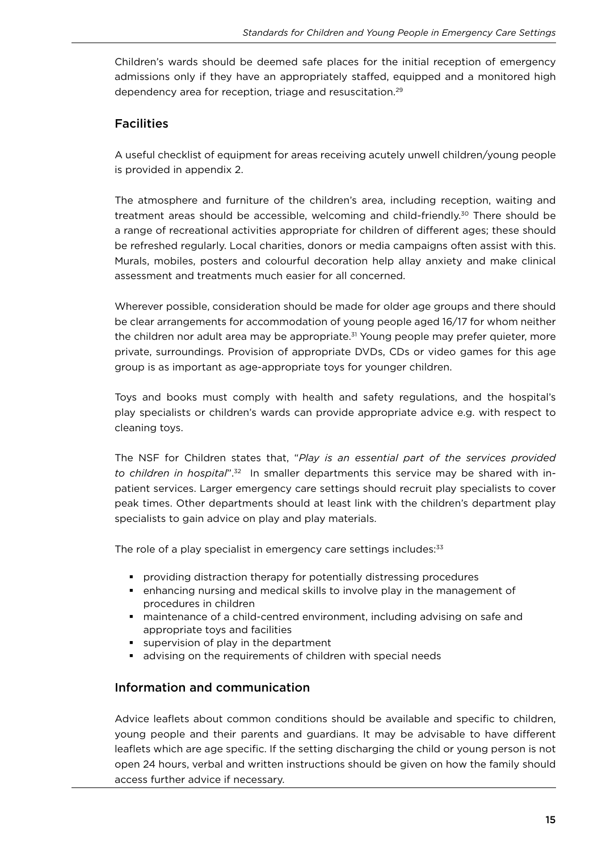Children's wards should be deemed safe places for the initial reception of emergency admissions only if they have an appropriately stafed, equipped and a monitored high dependency area for reception, triage and resuscitation.<sup>29</sup>

#### **Facilities**

A useful checklist of equipment for areas receiving acutely unwell children/young people is provided in appendix 2.

The atmosphere and furniture of the children's area, including reception, waiting and treatment areas should be accessible, welcoming and child-friendly.<sup>30</sup> There should be a range of recreational activities appropriate for children of diferent ages; these should be refreshed regularly. Local charities, donors or media campaigns often assist with this. Murals, mobiles, posters and colourful decoration help allay anxiety and make clinical assessment and treatments much easier for all concerned.

Wherever possible, consideration should be made for older age groups and there should be clear arrangements for accommodation of young people aged 16/17 for whom neither the children nor adult area may be appropriate.<sup>31</sup> Young people may prefer quieter, more private, surroundings. Provision of appropriate DVDs, CDs or video games for this age group is as important as age-appropriate toys for younger children.

Toys and books must comply with health and safety regulations, and the hospital's play specialists or children's wards can provide appropriate advice e.g. with respect to cleaning toys.

The NSF for Children states that, "*Play is an essential part of the services provided to children in hospital*".32 In smaller departments this service may be shared with inpatient services. Larger emergency care settings should recruit play specialists to cover peak times. Other departments should at least link with the children's department play specialists to gain advice on play and play materials.

The role of a play specialist in emergency care settings includes:<sup>33</sup>

- § providing distraction therapy for potentially distressing procedures
- § enhancing nursing and medical skills to involve play in the management of procedures in children
- § maintenance of a child-centred environment, including advising on safe and appropriate toys and facilities
- supervision of play in the department
- advising on the requirements of children with special needs

#### Information and communication

Advice leaflets about common conditions should be available and specific to children, young people and their parents and guardians. It may be advisable to have diferent leaflets which are age specific. If the setting discharging the child or young person is not open 24 hours, verbal and written instructions should be given on how the family should access further advice if necessary.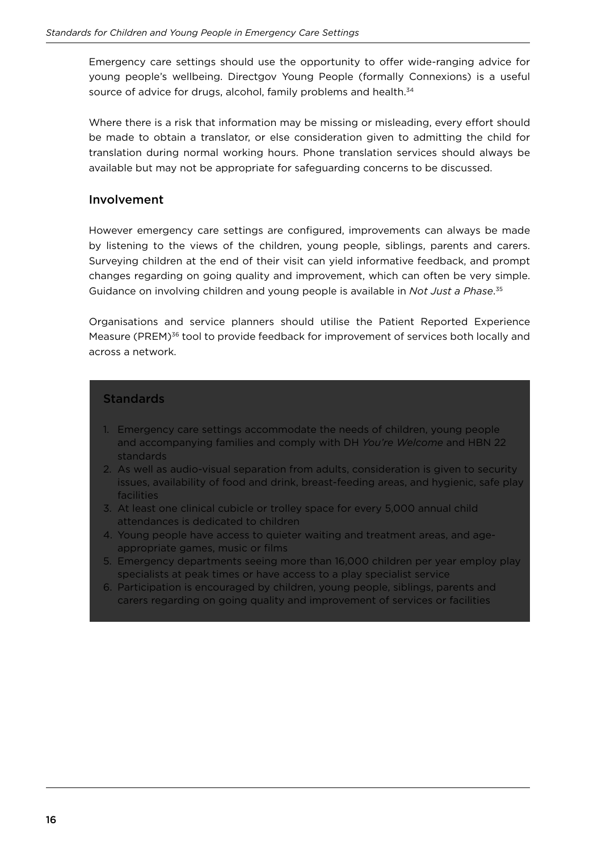Emergency care settings should use the opportunity to offer wide-ranging advice for young people's wellbeing. Directgov Young People (formally Connexions) is a useful source of advice for drugs, alcohol, family problems and health.<sup>34</sup>

Where there is a risk that information may be missing or misleading, every effort should be made to obtain a translator, or else consideration given to admitting the child for translation during normal working hours. Phone translation services should always be available but may not be appropriate for safeguarding concerns to be discussed.

#### Involvement

However emergency care settings are configured, improvements can always be made by listening to the views of the children, young people, siblings, parents and carers. Surveying children at the end of their visit can yield informative feedback, and prompt changes regarding on going quality and improvement, which can often be very simple. Guidance on involving children and young people is available in *Not Just a Phase*. 35

Organisations and service planners should utilise the Patient Reported Experience Measure (PREM)<sup>36</sup> tool to provide feedback for improvement of services both locally and across a network.

#### **Standards**

- 1. Emergency care settings accommodate the needs of children, young people and accompanying families and comply with DH *You're Welcome* and HBN 22 standards
- 2. As well as audio-visual separation from adults, consideration is given to security issues, availability of food and drink, breast-feeding areas, and hygienic, safe play facilities
- 3. At least one clinical cubicle or trolley space for every 5,000 annual child attendances is dedicated to children
- 4. Young people have access to quieter waiting and treatment areas, and ageappropriate games, music or films
- 5. Emergency departments seeing more than 16,000 children per year employ play specialists at peak times or have access to a play specialist service
- 6. Participation is encouraged by children, young people, siblings, parents and carers regarding on going quality and improvement of services or facilities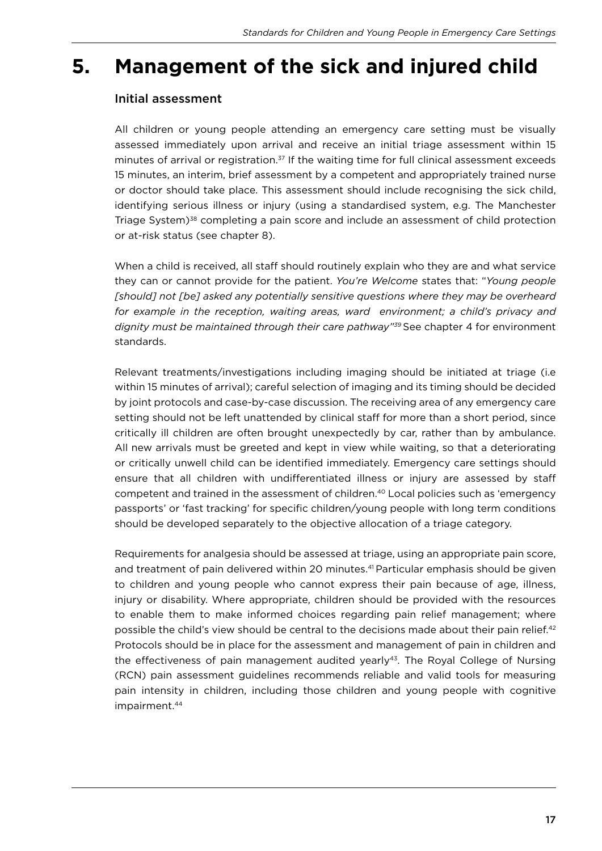### **5. Management of the sick and injured child**

#### Initial assessment

All children or young people attending an emergency care setting must be visually assessed immediately upon arrival and receive an initial triage assessment within 15 minutes of arrival or registration.<sup>37</sup> If the waiting time for full clinical assessment exceeds 15 minutes, an interim, brief assessment by a competent and appropriately trained nurse or doctor should take place. This assessment should include recognising the sick child, identifying serious illness or injury (using a standardised system, e.g. The Manchester Triage System)<sup>38</sup> completing a pain score and include an assessment of child protection or at-risk status (see chapter 8).

When a child is received, all staff should routinely explain who they are and what service they can or cannot provide for the patient. *You're Welcome* states that: "*Young people*  [should] not [be] asked any potentially sensitive questions where they may be overheard for example in the reception, waiting areas, ward environment; a child's privacy and *dignity must be maintained through their care pathway"39* See chapter 4 for environment standards.

Relevant treatments/investigations including imaging should be initiated at triage (i.e within 15 minutes of arrival); careful selection of imaging and its timing should be decided by joint protocols and case-by-case discussion. The receiving area of any emergency care setting should not be left unattended by clinical staff for more than a short period, since critically ill children are often brought unexpectedly by car, rather than by ambulance. All new arrivals must be greeted and kept in view while waiting, so that a deteriorating or critically unwell child can be identiied immediately. Emergency care settings should ensure that all children with undiferentiated illness or injury are assessed by staf competent and trained in the assessment of children.40 Local policies such as 'emergency passports' or 'fast tracking' for specific children/young people with long term conditions should be developed separately to the objective allocation of a triage category.

Requirements for analgesia should be assessed at triage, using an appropriate pain score, and treatment of pain delivered within 20 minutes.<sup>41</sup> Particular emphasis should be given to children and young people who cannot express their pain because of age, illness, injury or disability. Where appropriate, children should be provided with the resources to enable them to make informed choices regarding pain relief management; where possible the child's view should be central to the decisions made about their pain relief.<sup>42</sup> Protocols should be in place for the assessment and management of pain in children and the effectiveness of pain management audited yearly<sup>43</sup>. The Royal College of Nursing (RCN) pain assessment guidelines recommends reliable and valid tools for measuring pain intensity in children, including those children and young people with cognitive impairment.<sup>44</sup>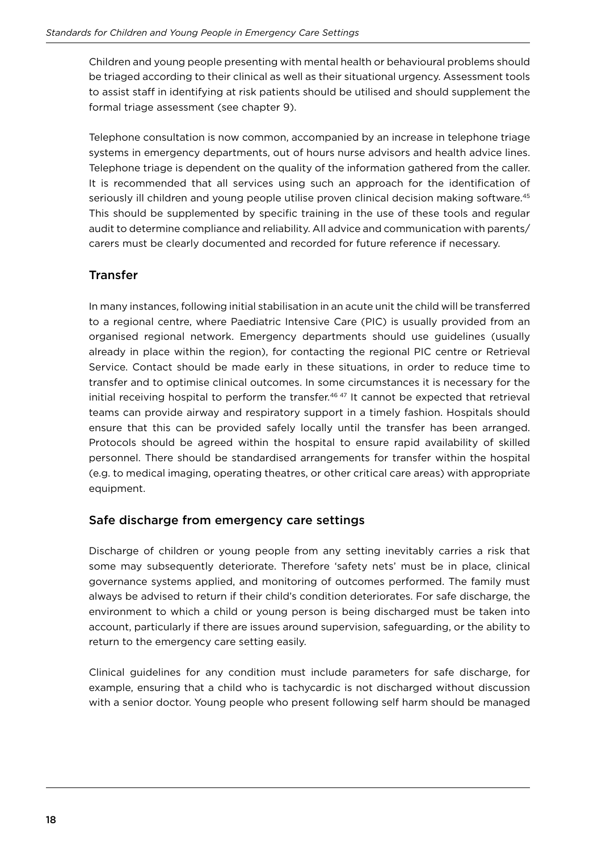Children and young people presenting with mental health or behavioural problems should be triaged according to their clinical as well as their situational urgency. Assessment tools to assist staff in identifying at risk patients should be utilised and should supplement the formal triage assessment (see chapter 9).

Telephone consultation is now common, accompanied by an increase in telephone triage systems in emergency departments, out of hours nurse advisors and health advice lines. Telephone triage is dependent on the quality of the information gathered from the caller. It is recommended that all services using such an approach for the identification of seriously ill children and young people utilise proven clinical decision making software.<sup>45</sup> This should be supplemented by specific training in the use of these tools and regular audit to determine compliance and reliability. All advice and communication with parents/ carers must be clearly documented and recorded for future reference if necessary.

#### **Transfer**

In many instances, following initial stabilisation in an acute unit the child will be transferred to a regional centre, where Paediatric Intensive Care (PIC) is usually provided from an organised regional network. Emergency departments should use guidelines (usually already in place within the region), for contacting the regional PIC centre or Retrieval Service. Contact should be made early in these situations, in order to reduce time to transfer and to optimise clinical outcomes. In some circumstances it is necessary for the initial receiving hospital to perform the transfer.<sup>46 47</sup> It cannot be expected that retrieval teams can provide airway and respiratory support in a timely fashion. Hospitals should ensure that this can be provided safely locally until the transfer has been arranged. Protocols should be agreed within the hospital to ensure rapid availability of skilled personnel. There should be standardised arrangements for transfer within the hospital (e.g. to medical imaging, operating theatres, or other critical care areas) with appropriate equipment.

#### Safe discharge from emergency care settings

Discharge of children or young people from any setting inevitably carries a risk that some may subsequently deteriorate. Therefore 'safety nets' must be in place, clinical governance systems applied, and monitoring of outcomes performed. The family must always be advised to return if their child's condition deteriorates. For safe discharge, the environment to which a child or young person is being discharged must be taken into account, particularly if there are issues around supervision, safeguarding, or the ability to return to the emergency care setting easily.

Clinical guidelines for any condition must include parameters for safe discharge, for example, ensuring that a child who is tachycardic is not discharged without discussion with a senior doctor. Young people who present following self harm should be managed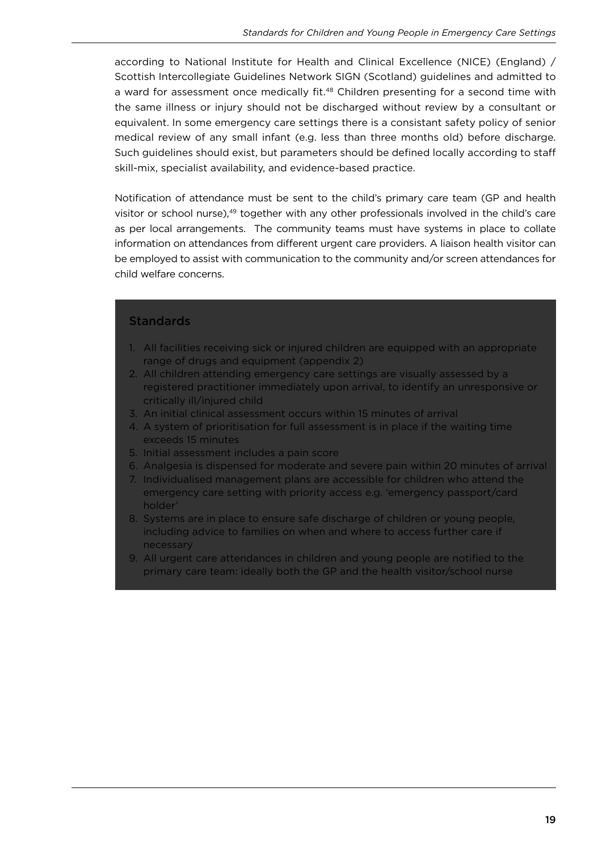according to National Institute for Health and Clinical Excellence (NICE) (England) / Scottish Intercollegiate Guidelines Network SIGN (Scotland) guidelines and admitted to a ward for assessment once medically fit.<sup>48</sup> Children presenting for a second time with the same illness or injury should not be discharged without review by a consultant or equivalent. In some emergency care settings there is a consistant safety policy of senior medical review of any small infant (e.g. less than three months old) before discharge. Such guidelines should exist, but parameters should be defined locally according to staff skill-mix, specialist availability, and evidence-based practice.

Notification of attendance must be sent to the child's primary care team (GP and health visitor or school nurse),<sup>49</sup> together with any other professionals involved in the child's care as per local arrangements. The community teams must have systems in place to collate information on attendances from diferent urgent care providers. A liaison health visitor can be employed to assist with communication to the community and/or screen attendances for child welfare concerns.

#### **Standards**

- 1. All facilities receiving sick or injured children are equipped with an appropriate range of drugs and equipment (appendix 2)
- 2. All children attending emergency care settings are visually assessed by a registered practitioner immediately upon arrival, to identify an unresponsive or critically ill/injured child
- 3. An initial clinical assessment occurs within 15 minutes of arrival
- 4. A system of prioritisation for full assessment is in place if the waiting time exceeds 15 minutes
- 5. Initial assessment includes a pain score
- 6. Analgesia is dispensed for moderate and severe pain within 20 minutes of arrival
- 7. Individualised management plans are accessible for children who attend the emergency care setting with priority access e.g. 'emergency passport/card holder'
- 8. Systems are in place to ensure safe discharge of children or young people, including advice to families on when and where to access further care if necessary
- 9. All urgent care attendances in children and young people are notified to the primary care team: ideally both the GP and the health visitor/school nurse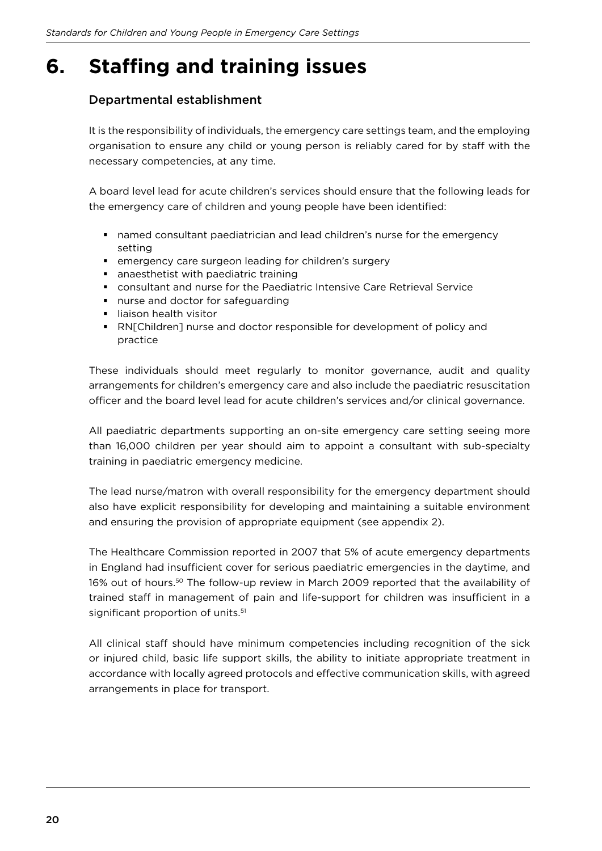# **6.** Staffing and training issues

#### Departmental establishment

It is the responsibility of individuals, the emergency care settings team, and the employing organisation to ensure any child or young person is reliably cared for by staff with the necessary competencies, at any time.

A board level lead for acute children's services should ensure that the following leads for the emergency care of children and young people have been identified:

- **•** named consultant paediatrician and lead children's nurse for the emergency setting
- emergency care surgeon leading for children's surgery
- anaesthetist with paediatric training
- consultant and nurse for the Paediatric Intensive Care Retrieval Service
- nurse and doctor for safeguarding
- **I** liaison health visitor
- § RN[Children] nurse and doctor responsible for development of policy and practice

These individuals should meet regularly to monitor governance, audit and quality arrangements for children's emergency care and also include the paediatric resuscitation officer and the board level lead for acute children's services and/or clinical governance.

All paediatric departments supporting an on-site emergency care setting seeing more than 16,000 children per year should aim to appoint a consultant with sub-specialty training in paediatric emergency medicine.

The lead nurse/matron with overall responsibility for the emergency department should also have explicit responsibility for developing and maintaining a suitable environment and ensuring the provision of appropriate equipment (see appendix 2).

The Healthcare Commission reported in 2007 that 5% of acute emergency departments in England had insufficient cover for serious paediatric emergencies in the daytime, and 16% out of hours.50 The follow-up review in March 2009 reported that the availability of trained staff in management of pain and life-support for children was insufficient in a significant proportion of units.<sup>51</sup>

All clinical staff should have minimum competencies including recognition of the sick or injured child, basic life support skills, the ability to initiate appropriate treatment in accordance with locally agreed protocols and efective communication skills, with agreed arrangements in place for transport.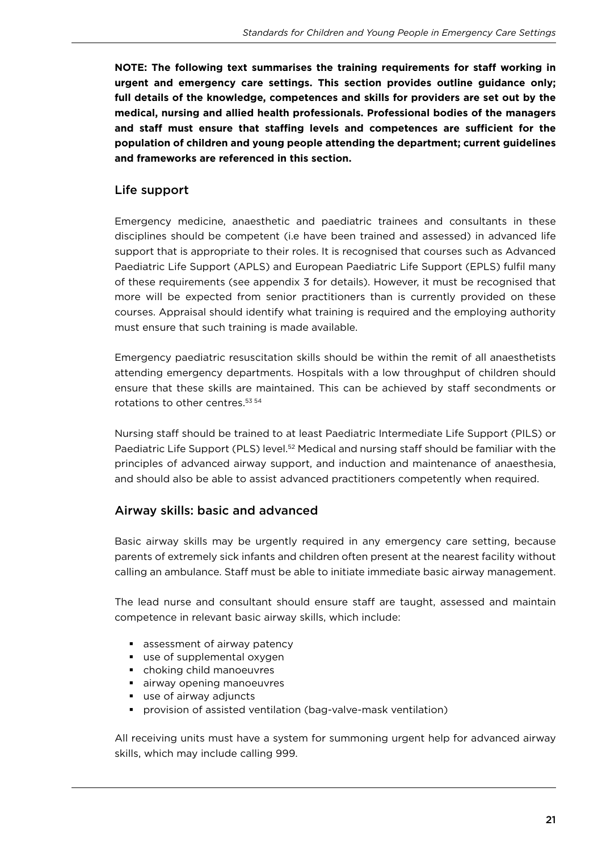**NOTE: The following text summarises the training requirements for staff working in urgent and emergency care settings. This section provides outline guidance only; full details of the knowledge, competences and skills for providers are set out by the medical, nursing and allied health professionals. Professional bodies of the managers**  and staff must ensure that staffing levels and competences are sufficient for the **population of children and young people attending the department; current guidelines and frameworks are referenced in this section.**

#### Life support

Emergency medicine, anaesthetic and paediatric trainees and consultants in these disciplines should be competent (i.e have been trained and assessed) in advanced life support that is appropriate to their roles. It is recognised that courses such as Advanced Paediatric Life Support (APLS) and European Paediatric Life Support (EPLS) fulil many of these requirements (see appendix 3 for details). However, it must be recognised that more will be expected from senior practitioners than is currently provided on these courses. Appraisal should identify what training is required and the employing authority must ensure that such training is made available.

Emergency paediatric resuscitation skills should be within the remit of all anaesthetists attending emergency departments. Hospitals with a low throughput of children should ensure that these skills are maintained. This can be achieved by staff secondments or rotations to other centres.53 54

Nursing staff should be trained to at least Paediatric Intermediate Life Support (PILS) or Paediatric Life Support (PLS) level.<sup>52</sup> Medical and nursing staff should be familiar with the principles of advanced airway support, and induction and maintenance of anaesthesia, and should also be able to assist advanced practitioners competently when required.

#### Airway skills: basic and advanced

Basic airway skills may be urgently required in any emergency care setting, because parents of extremely sick infants and children often present at the nearest facility without calling an ambulance. Staff must be able to initiate immediate basic airway management.

The lead nurse and consultant should ensure staff are taught, assessed and maintain competence in relevant basic airway skills, which include:

- assessment of airway patency
- use of supplemental oxygen
- § choking child manoeuvres
- airway opening manoeuvres
- use of airway adjuncts
- § provision of assisted ventilation (bag-valve-mask ventilation)

All receiving units must have a system for summoning urgent help for advanced airway skills, which may include calling 999.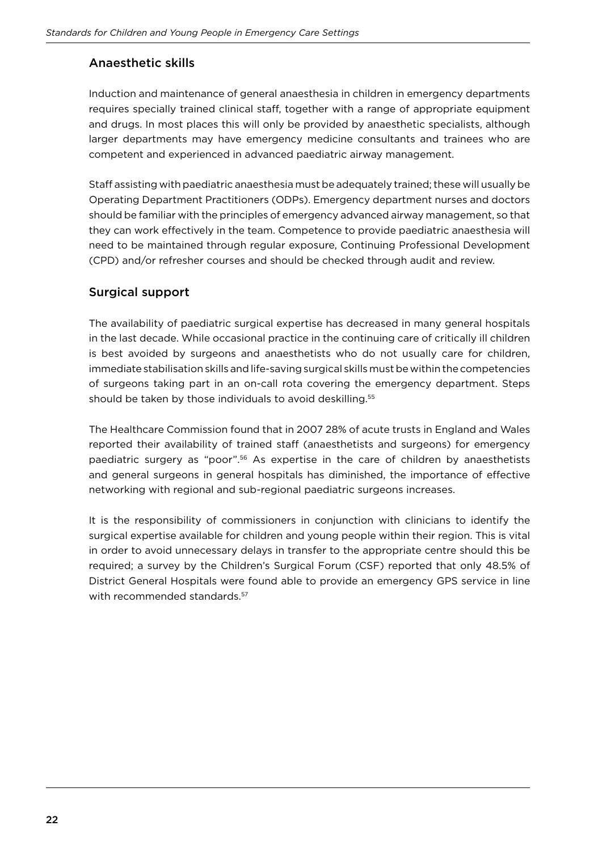### Anaesthetic skills

Induction and maintenance of general anaesthesia in children in emergency departments requires specially trained clinical staf, together with a range of appropriate equipment and drugs. In most places this will only be provided by anaesthetic specialists, although larger departments may have emergency medicine consultants and trainees who are competent and experienced in advanced paediatric airway management.

Staff assisting with paediatric anaesthesia must be adequately trained; these will usually be Operating Department Practitioners (ODPs). Emergency department nurses and doctors should be familiar with the principles of emergency advanced airway management, so that they can work efectively in the team. Competence to provide paediatric anaesthesia will need to be maintained through regular exposure, Continuing Professional Development (CPD) and/or refresher courses and should be checked through audit and review.

#### Surgical support

The availability of paediatric surgical expertise has decreased in many general hospitals in the last decade. While occasional practice in the continuing care of critically ill children is best avoided by surgeons and anaesthetists who do not usually care for children, immediate stabilisation skills and life-saving surgical skills must be within the competencies of surgeons taking part in an on-call rota covering the emergency department. Steps should be taken by those individuals to avoid deskilling.<sup>55</sup>

The Healthcare Commission found that in 2007 28% of acute trusts in England and Wales reported their availability of trained staff (anaesthetists and surgeons) for emergency paediatric surgery as "poor".56 As expertise in the care of children by anaesthetists and general surgeons in general hospitals has diminished, the importance of efective networking with regional and sub-regional paediatric surgeons increases.

It is the responsibility of commissioners in conjunction with clinicians to identify the surgical expertise available for children and young people within their region. This is vital in order to avoid unnecessary delays in transfer to the appropriate centre should this be required; a survey by the Children's Surgical Forum (CSF) reported that only 48.5% of District General Hospitals were found able to provide an emergency GPS service in line with recommended standards.<sup>57</sup>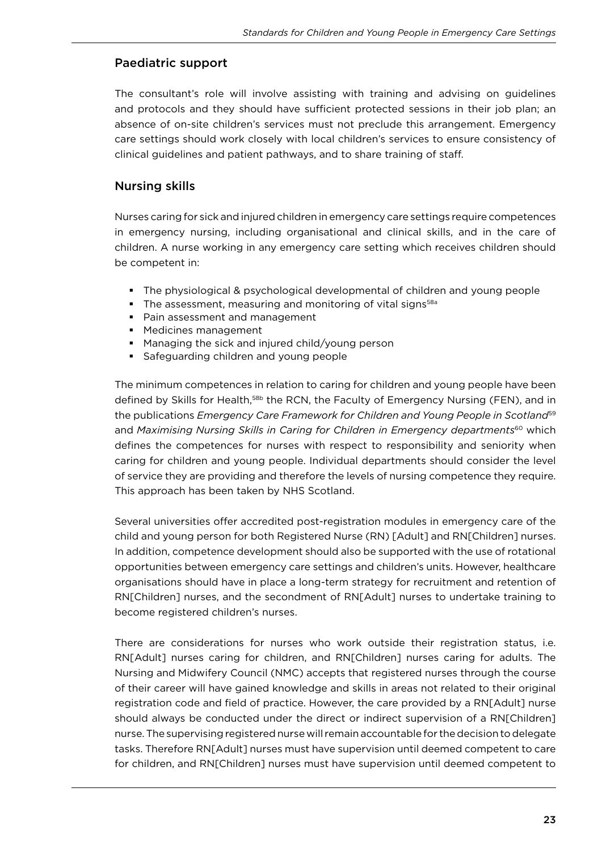#### Paediatric support

The consultant's role will involve assisting with training and advising on guidelines and protocols and they should have sufficient protected sessions in their job plan; an absence of on-site children's services must not preclude this arrangement. Emergency care settings should work closely with local children's services to ensure consistency of clinical guidelines and patient pathways, and to share training of staf.

#### Nursing skills

Nurses caring for sick and injured children in emergency care settings require competences in emergency nursing, including organisational and clinical skills, and in the care of children. A nurse working in any emergency care setting which receives children should be competent in:

- § The physiological & psychological developmental of children and young people
- The assessment, measuring and monitoring of vital signs<sup>58a</sup>
- Pain assessment and management
- Medicines management
- Managing the sick and injured child/young person
- § Safeguarding children and young people

The minimum competences in relation to caring for children and young people have been defined by Skills for Health,<sup>58b</sup> the RCN, the Faculty of Emergency Nursing (FEN), and in the publications *Emergency Care Framework for Children and Young People in Scotland*<sup>59</sup> and *Maximising Nursing Skills in Caring for Children in Emergency departments*<sup>60</sup> which defines the competences for nurses with respect to responsibility and seniority when caring for children and young people. Individual departments should consider the level of service they are providing and therefore the levels of nursing competence they require. This approach has been taken by NHS Scotland.

Several universities offer accredited post-registration modules in emergency care of the child and young person for both Registered Nurse (RN) [Adult] and RN[Children] nurses. In addition, competence development should also be supported with the use of rotational opportunities between emergency care settings and children's units. However, healthcare organisations should have in place a long-term strategy for recruitment and retention of RN[Children] nurses, and the secondment of RN[Adult] nurses to undertake training to become registered children's nurses.

There are considerations for nurses who work outside their registration status, i.e. RN[Adult] nurses caring for children, and RN[Children] nurses caring for adults. The Nursing and Midwifery Council (NMC) accepts that registered nurses through the course of their career will have gained knowledge and skills in areas not related to their original registration code and field of practice. However, the care provided by a RN[Adult] nurse should always be conducted under the direct or indirect supervision of a RN[Children] nurse. The supervising registered nurse will remain accountable for the decision to delegate tasks. Therefore RN[Adult] nurses must have supervision until deemed competent to care for children, and RN[Children] nurses must have supervision until deemed competent to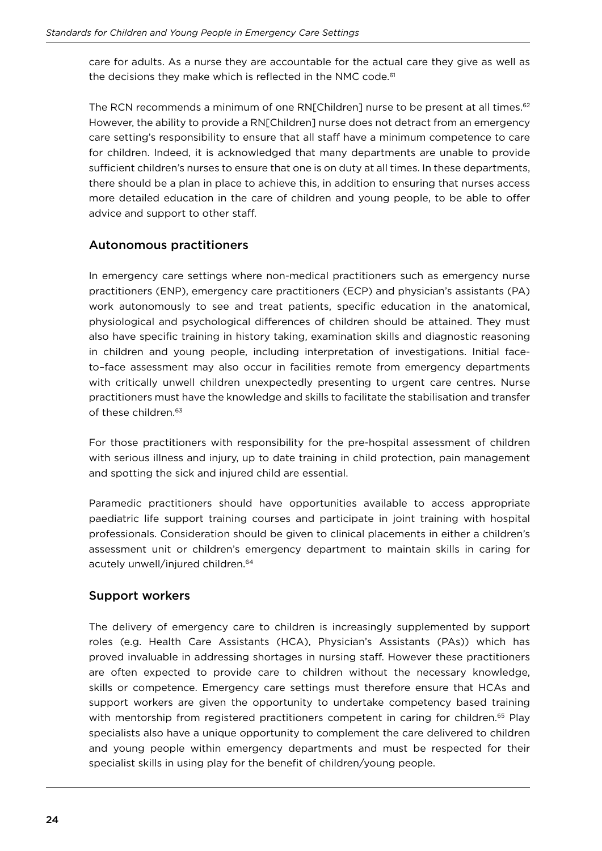care for adults. As a nurse they are accountable for the actual care they give as well as the decisions they make which is reflected in the NMC code.<sup>61</sup>

The RCN recommends a minimum of one RNIChildren] nurse to be present at all times.<sup>62</sup> However, the ability to provide a RN[Children] nurse does not detract from an emergency care setting's responsibility to ensure that all staff have a minimum competence to care for children. Indeed, it is acknowledged that many departments are unable to provide sufficient children's nurses to ensure that one is on duty at all times. In these departments, there should be a plan in place to achieve this, in addition to ensuring that nurses access more detailed education in the care of children and young people, to be able to offer advice and support to other staff.

#### Autonomous practitioners

In emergency care settings where non-medical practitioners such as emergency nurse practitioners (ENP), emergency care practitioners (ECP) and physician's assistants (PA) work autonomously to see and treat patients, specific education in the anatomical, physiological and psychological diferences of children should be attained. They must also have specific training in history taking, examination skills and diagnostic reasoning in children and young people, including interpretation of investigations. Initial faceto–face assessment may also occur in facilities remote from emergency departments with critically unwell children unexpectedly presenting to urgent care centres. Nurse practitioners must have the knowledge and skills to facilitate the stabilisation and transfer of these children.<sup>63</sup>

For those practitioners with responsibility for the pre-hospital assessment of children with serious illness and injury, up to date training in child protection, pain management and spotting the sick and injured child are essential.

Paramedic practitioners should have opportunities available to access appropriate paediatric life support training courses and participate in joint training with hospital professionals. Consideration should be given to clinical placements in either a children's assessment unit or children's emergency department to maintain skills in caring for acutely unwell/injured children.<sup>64</sup>

#### Support workers

The delivery of emergency care to children is increasingly supplemented by support roles (e.g. Health Care Assistants (HCA), Physician's Assistants (PAs)) which has proved invaluable in addressing shortages in nursing staf. However these practitioners are often expected to provide care to children without the necessary knowledge, skills or competence. Emergency care settings must therefore ensure that HCAs and support workers are given the opportunity to undertake competency based training with mentorship from registered practitioners competent in caring for children.<sup>65</sup> Play specialists also have a unique opportunity to complement the care delivered to children and young people within emergency departments and must be respected for their specialist skills in using play for the benefit of children/young people.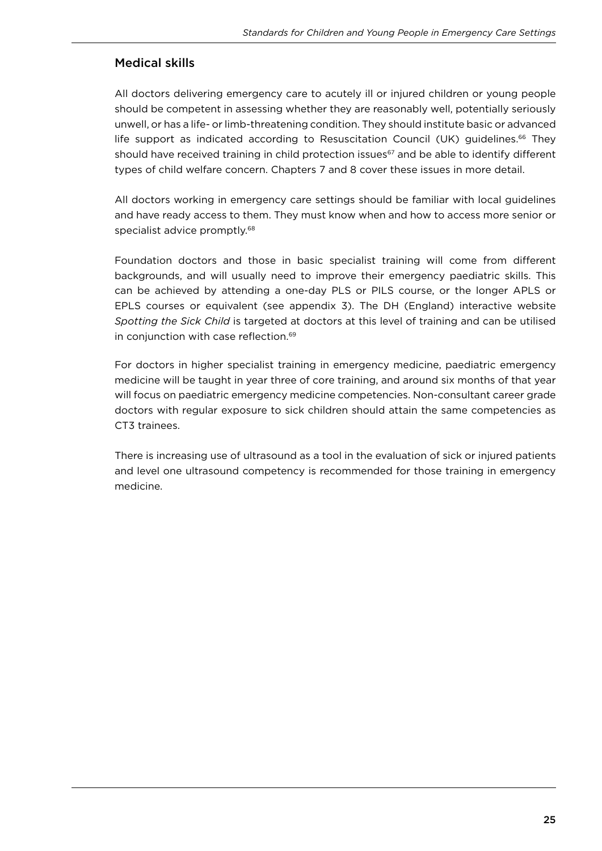#### Medical skills

All doctors delivering emergency care to acutely ill or injured children or young people should be competent in assessing whether they are reasonably well, potentially seriously unwell, or has a life- or limb-threatening condition. They should institute basic or advanced life support as indicated according to Resuscitation Council (UK) guidelines.66 They should have received training in child protection issues<sup>67</sup> and be able to identify different types of child welfare concern. Chapters 7 and 8 cover these issues in more detail.

All doctors working in emergency care settings should be familiar with local guidelines and have ready access to them. They must know when and how to access more senior or specialist advice promptly.<sup>68</sup>

Foundation doctors and those in basic specialist training will come from diferent backgrounds, and will usually need to improve their emergency paediatric skills. This can be achieved by attending a one-day PLS or PILS course, or the longer APLS or EPLS courses or equivalent (see appendix 3). The DH (England) interactive website *Spotting the Sick Child* is targeted at doctors at this level of training and can be utilised in conjunction with case reflection.<sup>69</sup>

For doctors in higher specialist training in emergency medicine, paediatric emergency medicine will be taught in year three of core training, and around six months of that year will focus on paediatric emergency medicine competencies. Non-consultant career grade doctors with regular exposure to sick children should attain the same competencies as CT3 trainees.

There is increasing use of ultrasound as a tool in the evaluation of sick or injured patients and level one ultrasound competency is recommended for those training in emergency medicine.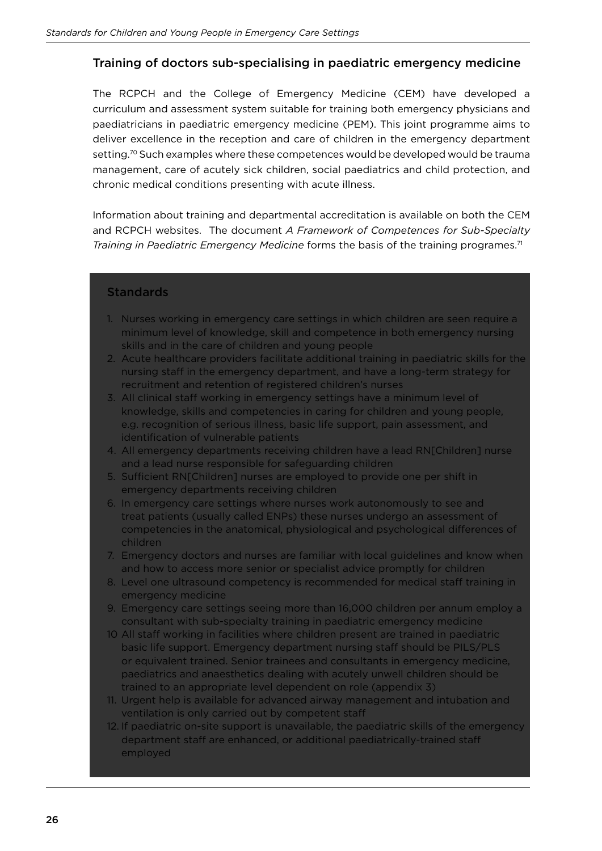#### Training of doctors sub-specialising in paediatric emergency medicine

The RCPCH and the College of Emergency Medicine (CEM) have developed a curriculum and assessment system suitable for training both emergency physicians and paediatricians in paediatric emergency medicine (PEM). This joint programme aims to deliver excellence in the reception and care of children in the emergency department setting.<sup>70</sup> Such examples where these competences would be developed would be trauma management, care of acutely sick children, social paediatrics and child protection, and chronic medical conditions presenting with acute illness.

Information about training and departmental accreditation is available on both the CEM and RCPCH websites. The document *A Framework of Competences for Sub-Specialty Training in Paediatric Emergency Medicine* forms the basis of the training programes.<sup>71</sup>

#### **Standards**

- 1. Nurses working in emergency care settings in which children are seen require a minimum level of knowledge, skill and competence in both emergency nursing skills and in the care of children and young people
- 2. Acute healthcare providers facilitate additional training in paediatric skills for the nursing staff in the emergency department, and have a long-term strategy for recruitment and retention of registered children's nurses
- 3. All clinical staff working in emergency settings have a minimum level of knowledge, skills and competencies in caring for children and young people, e.g. recognition of serious illness, basic life support, pain assessment, and identification of vulnerable patients
- 4. All emergency departments receiving children have a lead RN[Children] nurse and a lead nurse responsible for safeguarding children
- 5. Sufficient RN[Children] nurses are employed to provide one per shift in emergency departments receiving children
- 6. In emergency care settings where nurses work autonomously to see and treat patients (usually called ENPs) these nurses undergo an assessment of competencies in the anatomical, physiological and psychological diferences of children
- 7. Emergency doctors and nurses are familiar with local guidelines and know when and how to access more senior or specialist advice promptly for children
- 8. Level one ultrasound competency is recommended for medical staff training in emergency medicine
- 9. Emergency care settings seeing more than 16,000 children per annum employ a consultant with sub-specialty training in paediatric emergency medicine
- 10 All staff working in facilities where children present are trained in paediatric basic life support. Emergency department nursing staff should be PILS/PLS or equivalent trained. Senior trainees and consultants in emergency medicine, paediatrics and anaesthetics dealing with acutely unwell children should be trained to an appropriate level dependent on role (appendix 3)
- 11. Urgent help is available for advanced airway management and intubation and ventilation is only carried out by competent staf
- 12. If paediatric on-site support is unavailable, the paediatric skills of the emergency department staff are enhanced, or additional paediatrically-trained staff employed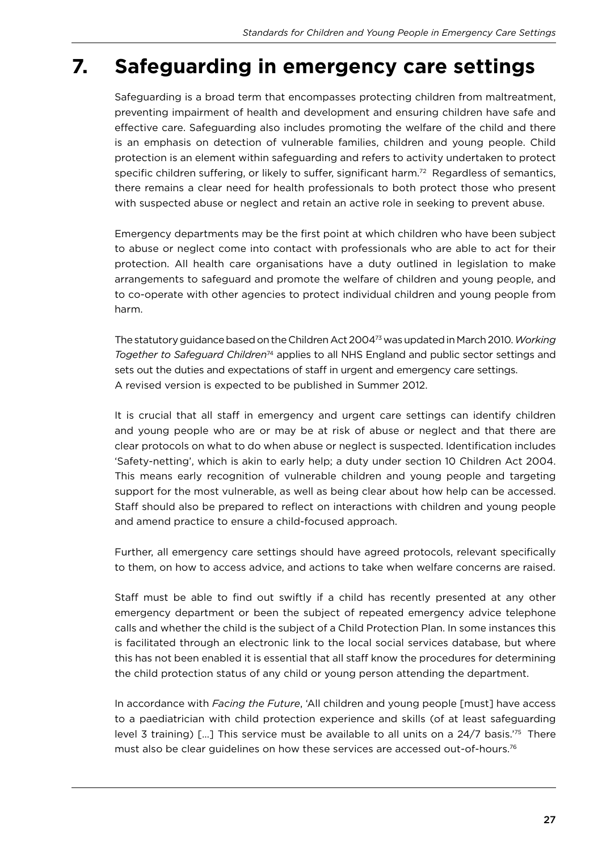# **7. Safeguarding in emergency care settings**

Safeguarding is a broad term that encompasses protecting children from maltreatment, preventing impairment of health and development and ensuring children have safe and efective care. Safeguarding also includes promoting the welfare of the child and there is an emphasis on detection of vulnerable families, children and young people. Child protection is an element within safeguarding and refers to activity undertaken to protect specific children suffering, or likely to suffer, significant harm.<sup>72</sup> Regardless of semantics, there remains a clear need for health professionals to both protect those who present with suspected abuse or neglect and retain an active role in seeking to prevent abuse.

Emergency departments may be the irst point at which children who have been subject to abuse or neglect come into contact with professionals who are able to act for their protection. All health care organisations have a duty outlined in legislation to make arrangements to safeguard and promote the welfare of children and young people, and to co-operate with other agencies to protect individual children and young people from harm.

The statutory guidance based on the Children Act 200473 was updated in March 2010. *Working Together to Safeguard Children*74 applies to all NHS England and public sector settings and sets out the duties and expectations of staff in urgent and emergency care settings. A revised version is expected to be published in Summer 2012.

It is crucial that all staff in emergency and urgent care settings can identify children and young people who are or may be at risk of abuse or neglect and that there are clear protocols on what to do when abuse or neglect is suspected. Identiication includes 'Safety-netting', which is akin to early help; a duty under section 10 Children Act 2004. This means early recognition of vulnerable children and young people and targeting support for the most vulnerable, as well as being clear about how help can be accessed. Staff should also be prepared to reflect on interactions with children and young people and amend practice to ensure a child-focused approach.

Further, all emergency care settings should have agreed protocols, relevant specifically to them, on how to access advice, and actions to take when welfare concerns are raised.

Staff must be able to find out swiftly if a child has recently presented at any other emergency department or been the subject of repeated emergency advice telephone calls and whether the child is the subject of a Child Protection Plan. In some instances this is facilitated through an electronic link to the local social services database, but where this has not been enabled it is essential that all staff know the procedures for determining the child protection status of any child or young person attending the department.

In accordance with *Facing the Future*, 'All children and young people [must] have access to a paediatrician with child protection experience and skills (of at least safeguarding level 3 training)  $[...]$  This service must be available to all units on a 24/7 basis.<sup>'75</sup> There must also be clear guidelines on how these services are accessed out-of-hours.76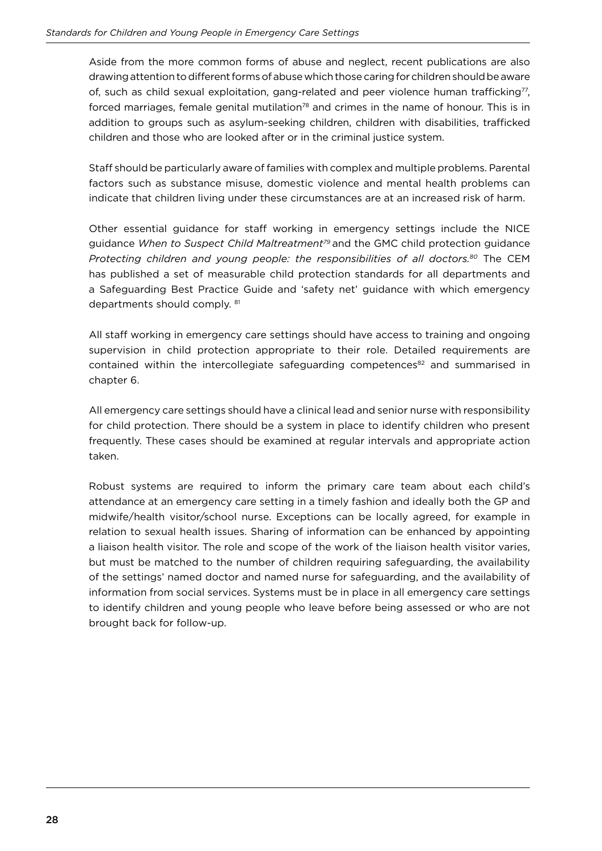Aside from the more common forms of abuse and neglect, recent publications are also drawing attention to diferent forms of abuse which those caring for children should be aware of, such as child sexual exploitation, gang-related and peer violence human trafficking<sup>77</sup>, forced marriages, female genital mutilation<sup>78</sup> and crimes in the name of honour. This is in addition to groups such as asylum-seeking children, children with disabilities, trafficked children and those who are looked after or in the criminal justice system.

Staff should be particularly aware of families with complex and multiple problems. Parental factors such as substance misuse, domestic violence and mental health problems can indicate that children living under these circumstances are at an increased risk of harm.

Other essential guidance for staff working in emergency settings include the NICE guidance *When to Suspect Child Maltreatment79* and the GMC child protection guidance *Protecting children and young people: the responsibilities of all doctors.<sup>80</sup>* The CEM has published a set of measurable child protection standards for all departments and a Safeguarding Best Practice Guide and 'safety net' guidance with which emergency departments should comply. <sup>81</sup>

All staff working in emergency care settings should have access to training and ongoing supervision in child protection appropriate to their role. Detailed requirements are contained within the intercollegiate safeguarding competences<sup>82</sup> and summarised in chapter 6.

All emergency care settings should have a clinical lead and senior nurse with responsibility for child protection. There should be a system in place to identify children who present frequently. These cases should be examined at regular intervals and appropriate action taken.

Robust systems are required to inform the primary care team about each child's attendance at an emergency care setting in a timely fashion and ideally both the GP and midwife/health visitor/school nurse. Exceptions can be locally agreed, for example in relation to sexual health issues. Sharing of information can be enhanced by appointing a liaison health visitor. The role and scope of the work of the liaison health visitor varies, but must be matched to the number of children requiring safeguarding, the availability of the settings' named doctor and named nurse for safeguarding, and the availability of information from social services. Systems must be in place in all emergency care settings to identify children and young people who leave before being assessed or who are not brought back for follow-up.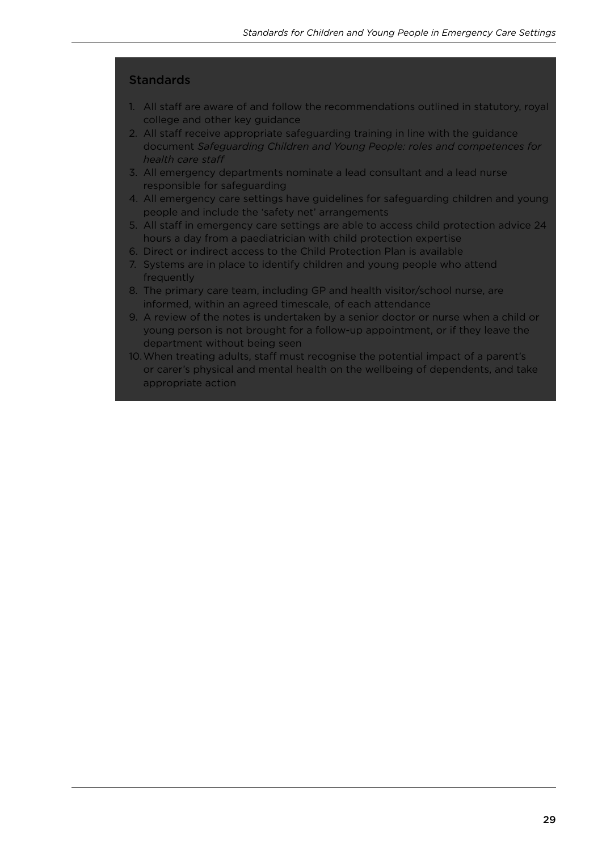#### **Standards**

- 1. All staff are aware of and follow the recommendations outlined in statutory, royal college and other key guidance
- 2. All staff receive appropriate safeguarding training in line with the guidance document *Safeguarding Children and Young People: roles and competences for health care staf*
- 3. All emergency departments nominate a lead consultant and a lead nurse responsible for safeguarding
- 4. All emergency care settings have guidelines for safeguarding children and young people and include the 'safety net' arrangements
- 5. All staff in emergency care settings are able to access child protection advice 24 hours a day from a paediatrician with child protection expertise
- 6. Direct or indirect access to the Child Protection Plan is available
- 7. Systems are in place to identify children and young people who attend frequently
- 8. The primary care team, including GP and health visitor/school nurse, are informed, within an agreed timescale, of each attendance
- 9. A review of the notes is undertaken by a senior doctor or nurse when a child or young person is not brought for a follow-up appointment, or if they leave the department without being seen
- 10. When treating adults, staff must recognise the potential impact of a parent's or carer's physical and mental health on the wellbeing of dependents, and take appropriate action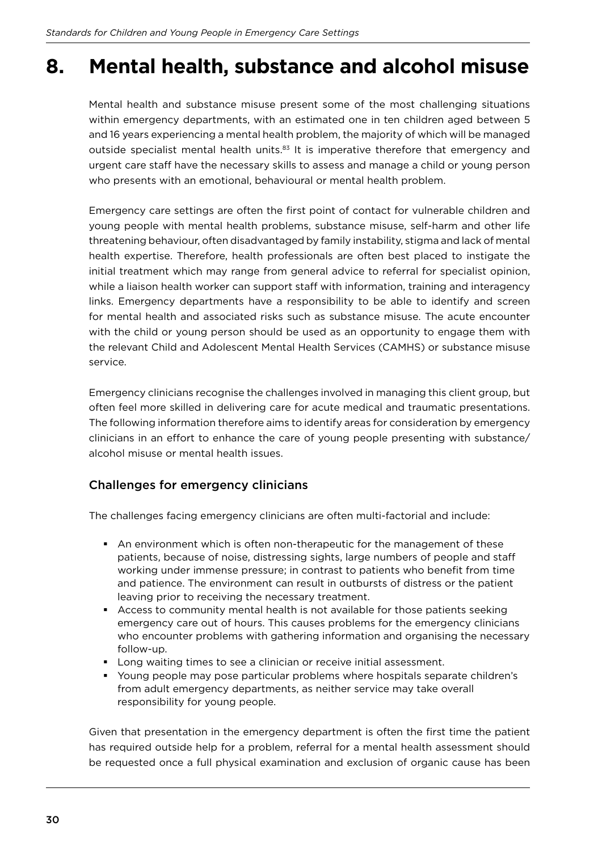### **8. Mental health, substance and alcohol misuse**

Mental health and substance misuse present some of the most challenging situations within emergency departments, with an estimated one in ten children aged between 5 and 16 years experiencing a mental health problem, the majority of which will be managed outside specialist mental health units.<sup>83</sup> It is imperative therefore that emergency and urgent care staff have the necessary skills to assess and manage a child or young person who presents with an emotional, behavioural or mental health problem.

Emergency care settings are often the first point of contact for vulnerable children and young people with mental health problems, substance misuse, self-harm and other life threatening behaviour, often disadvantaged by family instability, stigma and lack of mental health expertise. Therefore, health professionals are often best placed to instigate the initial treatment which may range from general advice to referral for specialist opinion, while a liaison health worker can support staff with information, training and interagency links. Emergency departments have a responsibility to be able to identify and screen for mental health and associated risks such as substance misuse. The acute encounter with the child or young person should be used as an opportunity to engage them with the relevant Child and Adolescent Mental Health Services (CAMHS) or substance misuse service.

Emergency clinicians recognise the challenges involved in managing this client group, but often feel more skilled in delivering care for acute medical and traumatic presentations. The following information therefore aims to identify areas for consideration by emergency clinicians in an efort to enhance the care of young people presenting with substance/ alcohol misuse or mental health issues.

#### Challenges for emergency clinicians

The challenges facing emergency clinicians are often multi-factorial and include:

- § An environment which is often non-therapeutic for the management of these patients, because of noise, distressing sights, large numbers of people and staf working under immense pressure; in contrast to patients who benefit from time and patience. The environment can result in outbursts of distress or the patient leaving prior to receiving the necessary treatment.
- **•** Access to community mental health is not available for those patients seeking emergency care out of hours. This causes problems for the emergency clinicians who encounter problems with gathering information and organising the necessary follow-up.
- Long waiting times to see a clinician or receive initial assessment.
- § Young people may pose particular problems where hospitals separate children's from adult emergency departments, as neither service may take overall responsibility for young people.

Given that presentation in the emergency department is often the first time the patient has required outside help for a problem, referral for a mental health assessment should be requested once a full physical examination and exclusion of organic cause has been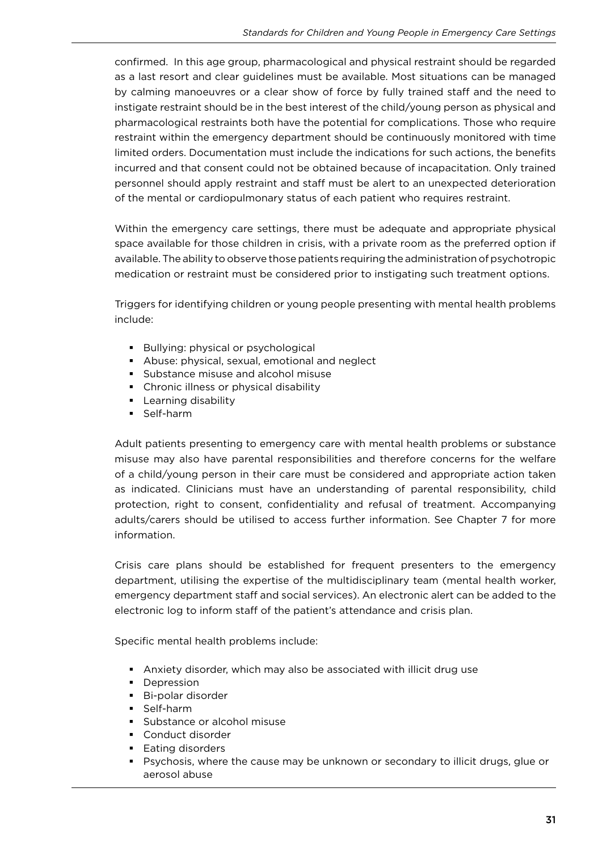confirmed. In this age group, pharmacological and physical restraint should be regarded as a last resort and clear guidelines must be available. Most situations can be managed by calming manoeuvres or a clear show of force by fully trained staff and the need to instigate restraint should be in the best interest of the child/young person as physical and pharmacological restraints both have the potential for complications. Those who require restraint within the emergency department should be continuously monitored with time limited orders. Documentation must include the indications for such actions, the beneits incurred and that consent could not be obtained because of incapacitation. Only trained personnel should apply restraint and staff must be alert to an unexpected deterioration of the mental or cardiopulmonary status of each patient who requires restraint.

Within the emergency care settings, there must be adequate and appropriate physical space available for those children in crisis, with a private room as the preferred option if available. The ability to observe those patients requiring the administration of psychotropic medication or restraint must be considered prior to instigating such treatment options.

Triggers for identifying children or young people presenting with mental health problems include:

- Bullying: physical or psychological
- **Abuse: physical, sexual, emotional and neglect**
- Substance misuse and alcohol misuse
- § Chronic illness or physical disability
- § Learning disability
- § Self-harm

Adult patients presenting to emergency care with mental health problems or substance misuse may also have parental responsibilities and therefore concerns for the welfare of a child/young person in their care must be considered and appropriate action taken as indicated. Clinicians must have an understanding of parental responsibility, child protection, right to consent, conidentiality and refusal of treatment. Accompanying adults/carers should be utilised to access further information. See Chapter 7 for more information.

Crisis care plans should be established for frequent presenters to the emergency department, utilising the expertise of the multidisciplinary team (mental health worker, emergency department staff and social services). An electronic alert can be added to the electronic log to inform staff of the patient's attendance and crisis plan.

Specific mental health problems include:

- § Anxiety disorder, which may also be associated with illicit drug use
- Depression
- Bi-polar disorder
- § Self-harm
- Substance or alcohol misuse
- Conduct disorder
- § Eating disorders
- § Psychosis, where the cause may be unknown or secondary to illicit drugs, glue or aerosol abuse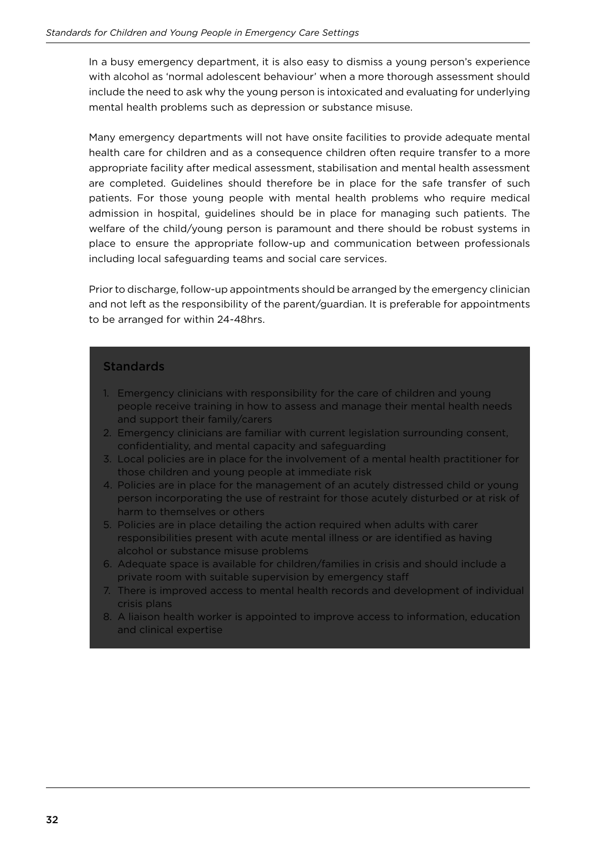In a busy emergency department, it is also easy to dismiss a young person's experience with alcohol as 'normal adolescent behaviour' when a more thorough assessment should include the need to ask why the young person is intoxicated and evaluating for underlying mental health problems such as depression or substance misuse.

Many emergency departments will not have onsite facilities to provide adequate mental health care for children and as a consequence children often require transfer to a more appropriate facility after medical assessment, stabilisation and mental health assessment are completed. Guidelines should therefore be in place for the safe transfer of such patients. For those young people with mental health problems who require medical admission in hospital, guidelines should be in place for managing such patients. The welfare of the child/young person is paramount and there should be robust systems in place to ensure the appropriate follow-up and communication between professionals including local safeguarding teams and social care services.

Prior to discharge, follow-up appointments should be arranged by the emergency clinician and not left as the responsibility of the parent/guardian. It is preferable for appointments to be arranged for within 24-48hrs.

#### **Standards**

- 1. Emergency clinicians with responsibility for the care of children and young people receive training in how to assess and manage their mental health needs and support their family/carers
- 2. Emergency clinicians are familiar with current legislation surrounding consent, confidentiality, and mental capacity and safeguarding
- 3. Local policies are in place for the involvement of a mental health practitioner for those children and young people at immediate risk
- 4. Policies are in place for the management of an acutely distressed child or young person incorporating the use of restraint for those acutely disturbed or at risk of harm to themselves or others
- 5. Policies are in place detailing the action required when adults with carer responsibilities present with acute mental illness or are identified as having alcohol or substance misuse problems
- 6. Adequate space is available for children/families in crisis and should include a private room with suitable supervision by emergency staff
- 7. There is improved access to mental health records and development of individual crisis plans
- 8. A liaison health worker is appointed to improve access to information, education and clinical expertise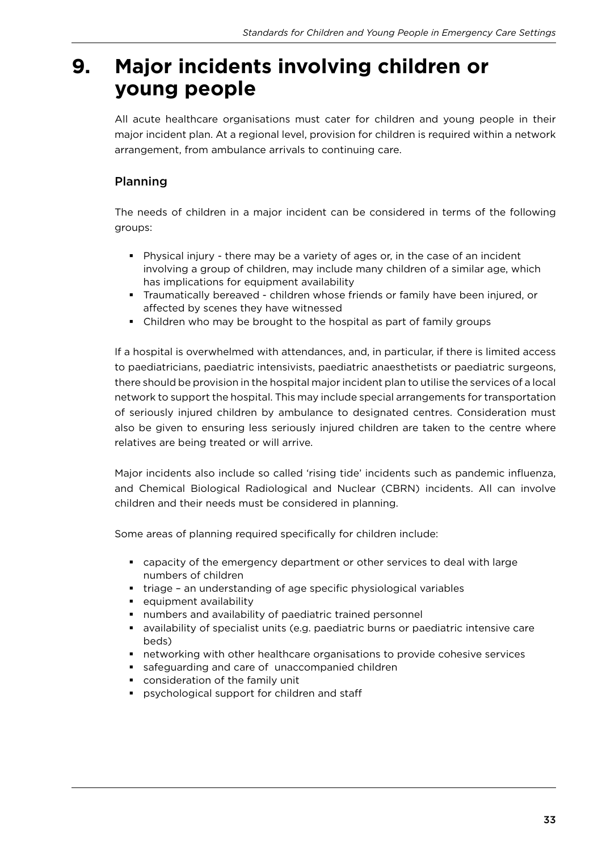### **9. Major incidents involving children or young people**

All acute healthcare organisations must cater for children and young people in their major incident plan. At a regional level, provision for children is required within a network arrangement, from ambulance arrivals to continuing care.

### Planning

The needs of children in a major incident can be considered in terms of the following groups:

- § Physical injury there may be a variety of ages or, in the case of an incident involving a group of children, may include many children of a similar age, which has implications for equipment availability
- § Traumatically bereaved children whose friends or family have been injured, or afected by scenes they have witnessed
- Children who may be brought to the hospital as part of family groups

If a hospital is overwhelmed with attendances, and, in particular, if there is limited access to paediatricians, paediatric intensivists, paediatric anaesthetists or paediatric surgeons, there should be provision in the hospital major incident plan to utilise the services of a local network to support the hospital. This may include special arrangements for transportation of seriously injured children by ambulance to designated centres. Consideration must also be given to ensuring less seriously injured children are taken to the centre where relatives are being treated or will arrive.

Major incidents also include so called 'rising tide' incidents such as pandemic inluenza, and Chemical Biological Radiological and Nuclear (CBRN) incidents. All can involve children and their needs must be considered in planning.

Some areas of planning required specifically for children include:

- § capacity of the emergency department or other services to deal with large numbers of children
- triage an understanding of age specific physiological variables
- § equipment availability
- numbers and availability of paediatric trained personnel
- availability of specialist units (e.g. paediatric burns or paediatric intensive care beds)
- **•** networking with other healthcare organisations to provide cohesive services
- safeguarding and care of unaccompanied children
- consideration of the family unit
- **•** psychological support for children and staff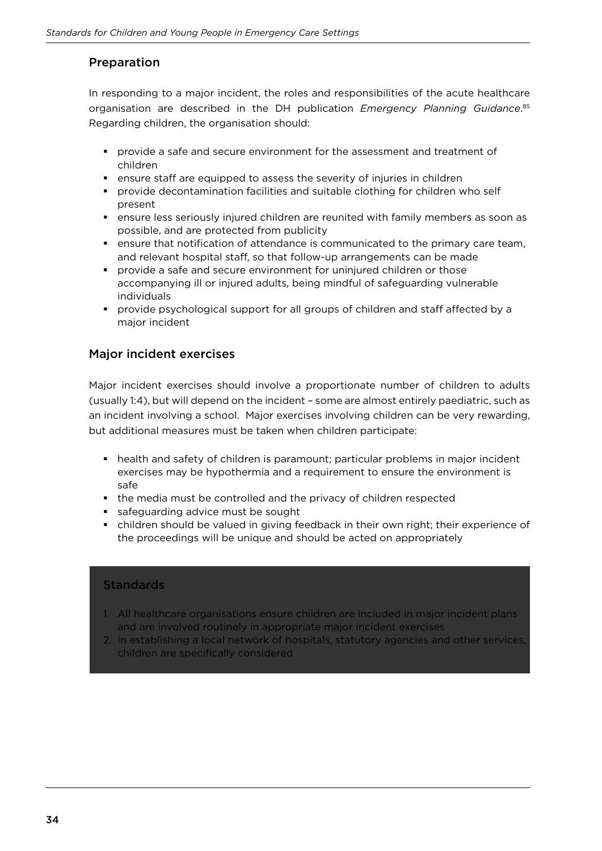#### Preparation

In responding to a major incident, the roles and responsibilities of the acute healthcare organisation are described in the DH publication *Emergency Planning Guidance*. 85 Regarding children, the organisation should:

- § provide a safe and secure environment for the assessment and treatment of children
- ensure staff are equipped to assess the severity of injuries in children
- § provide decontamination facilities and suitable clothing for children who self present
- **•** ensure less seriously injured children are reunited with family members as soon as possible, and are protected from publicity
- ensure that notification of attendance is communicated to the primary care team, and relevant hospital staff, so that follow-up arrangements can be made
- § provide a safe and secure environment for uninjured children or those accompanying ill or injured adults, being mindful of safeguarding vulnerable individuals
- provide psychological support for all groups of children and staff affected by a major incident

#### Major incident exercises

Major incident exercises should involve a proportionate number of children to adults (usually 1:4), but will depend on the incident – some are almost entirely paediatric, such as an incident involving a school. Major exercises involving children can be very rewarding, but additional measures must be taken when children participate:

- health and safety of children is paramount; particular problems in major incident exercises may be hypothermia and a requirement to ensure the environment is safe
- the media must be controlled and the privacy of children respected
- safeguarding advice must be sought
- children should be valued in giving feedback in their own right; their experience of the proceedings will be unique and should be acted on appropriately

#### **Standards**

- 1. All healthcare organisations ensure children are included in major incident plans and are involved routinely in appropriate major incident exercises
- 2. In establishing a local network of hospitals, statutory agencies and other services, children are specifically considered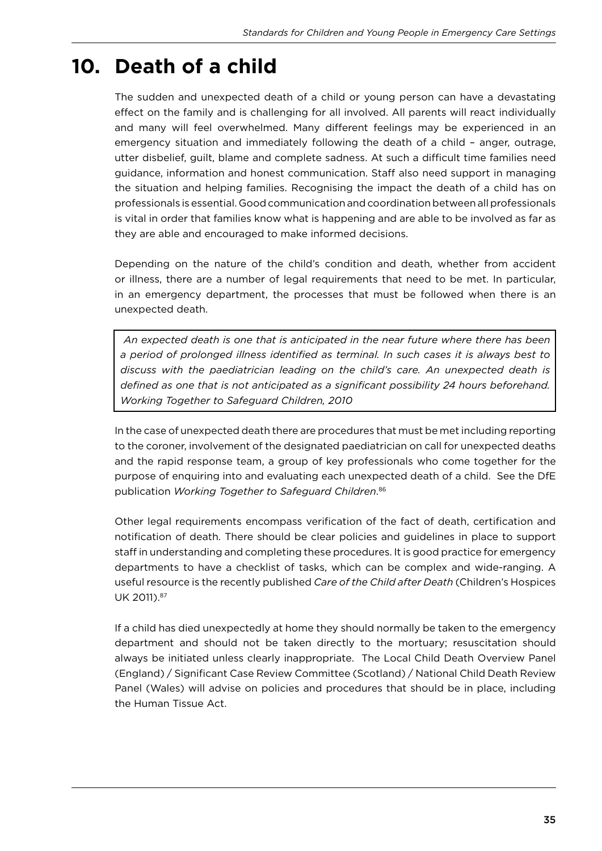### **10. Death of a child**

The sudden and unexpected death of a child or young person can have a devastating efect on the family and is challenging for all involved. All parents will react individually and many will feel overwhelmed. Many diferent feelings may be experienced in an emergency situation and immediately following the death of a child – anger, outrage, utter disbelief, guilt, blame and complete sadness. At such a difficult time families need guidance, information and honest communication. Staff also need support in managing the situation and helping families. Recognising the impact the death of a child has on professionals is essential. Good communication and coordination between all professionals is vital in order that families know what is happening and are able to be involved as far as they are able and encouraged to make informed decisions.

Depending on the nature of the child's condition and death, whether from accident or illness, there are a number of legal requirements that need to be met. In particular, in an emergency department, the processes that must be followed when there is an unexpected death.

*An expected death is one that is anticipated in the near future where there has been a period of prolonged illness identiied as terminal. In such cases it is always best to discuss with the paediatrician leading on the child's care. An unexpected death is deined as one that is not anticipated as a signiicant possibility 24 hours beforehand. Working Together to Safeguard Children, 2010*

In the case of unexpected death there are procedures that must be met including reporting to the coroner, involvement of the designated paediatrician on call for unexpected deaths and the rapid response team, a group of key professionals who come together for the purpose of enquiring into and evaluating each unexpected death of a child. See the DfE publication *Working Together to Safeguard Children*. 86

Other legal requirements encompass verification of the fact of death, certification and notiication of death. There should be clear policies and guidelines in place to support staff in understanding and completing these procedures. It is good practice for emergency departments to have a checklist of tasks, which can be complex and wide-ranging. A useful resource is the recently published *Care of the Child after Death* (Children's Hospices UK 2011).<sup>87</sup>

If a child has died unexpectedly at home they should normally be taken to the emergency department and should not be taken directly to the mortuary; resuscitation should always be initiated unless clearly inappropriate. The Local Child Death Overview Panel (England) / Signiicant Case Review Committee (Scotland) / National Child Death Review Panel (Wales) will advise on policies and procedures that should be in place, including the Human Tissue Act.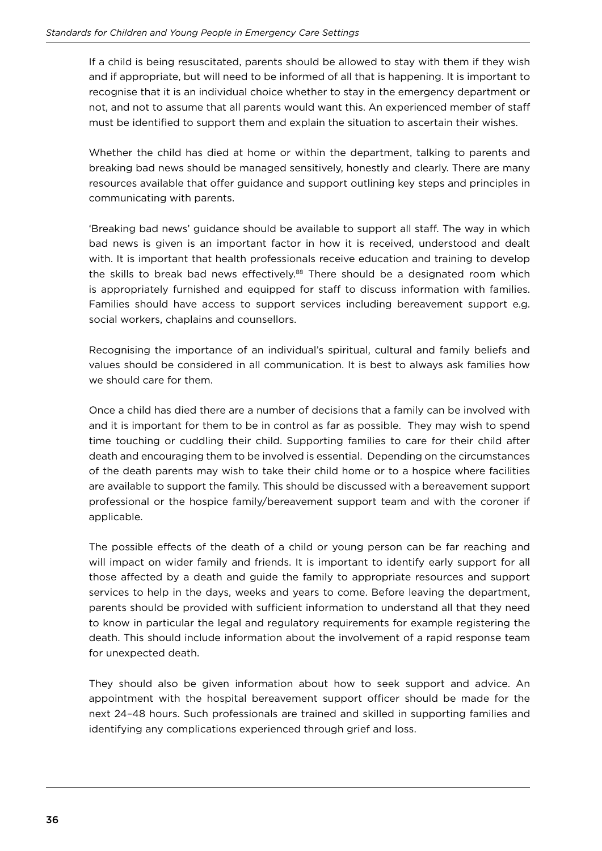If a child is being resuscitated, parents should be allowed to stay with them if they wish and if appropriate, but will need to be informed of all that is happening. It is important to recognise that it is an individual choice whether to stay in the emergency department or not, and not to assume that all parents would want this. An experienced member of staf must be identified to support them and explain the situation to ascertain their wishes.

Whether the child has died at home or within the department, talking to parents and breaking bad news should be managed sensitively, honestly and clearly. There are many resources available that offer guidance and support outlining key steps and principles in communicating with parents.

'Breaking bad news' guidance should be available to support all staf. The way in which bad news is given is an important factor in how it is received, understood and dealt with. It is important that health professionals receive education and training to develop the skills to break bad news effectively.<sup>88</sup> There should be a designated room which is appropriately furnished and equipped for staff to discuss information with families. Families should have access to support services including bereavement support e.g. social workers, chaplains and counsellors.

Recognising the importance of an individual's spiritual, cultural and family beliefs and values should be considered in all communication. It is best to always ask families how we should care for them.

Once a child has died there are a number of decisions that a family can be involved with and it is important for them to be in control as far as possible. They may wish to spend time touching or cuddling their child. Supporting families to care for their child after death and encouraging them to be involved is essential. Depending on the circumstances of the death parents may wish to take their child home or to a hospice where facilities are available to support the family. This should be discussed with a bereavement support professional or the hospice family/bereavement support team and with the coroner if applicable.

The possible effects of the death of a child or young person can be far reaching and will impact on wider family and friends. It is important to identify early support for all those afected by a death and guide the family to appropriate resources and support services to help in the days, weeks and years to come. Before leaving the department, parents should be provided with sufficient information to understand all that they need to know in particular the legal and regulatory requirements for example registering the death. This should include information about the involvement of a rapid response team for unexpected death.

They should also be given information about how to seek support and advice. An appointment with the hospital bereavement support officer should be made for the next 24–48 hours. Such professionals are trained and skilled in supporting families and identifying any complications experienced through grief and loss.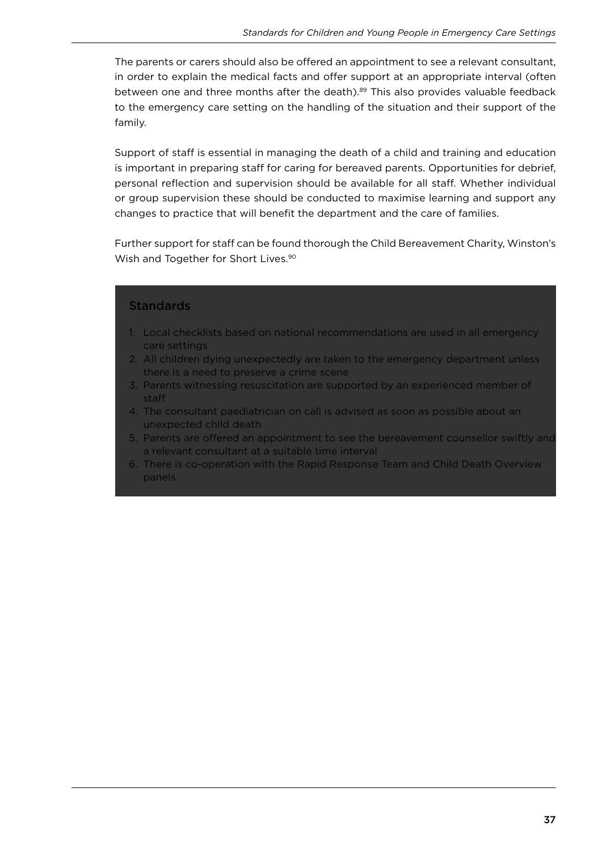The parents or carers should also be offered an appointment to see a relevant consultant, in order to explain the medical facts and offer support at an appropriate interval (often between one and three months after the death).<sup>89</sup> This also provides valuable feedback to the emergency care setting on the handling of the situation and their support of the family.

Support of staff is essential in managing the death of a child and training and education is important in preparing staff for caring for bereaved parents. Opportunities for debrief, personal reflection and supervision should be available for all staff. Whether individual or group supervision these should be conducted to maximise learning and support any changes to practice that will benefit the department and the care of families.

Further support for staff can be found thorough the Child Bereavement Charity, Winston's Wish and Together for Short Lives.<sup>90</sup>

#### **Standards**

- 1. Local checklists based on national recommendations are used in all emergency care settings
- 2. All children dying unexpectedly are taken to the emergency department unless there is a need to preserve a crime scene
- 3. Parents witnessing resuscitation are supported by an experienced member of staf
- 4. The consultant paediatrician on call is advised as soon as possible about an unexpected child death
- 5. Parents are offered an appointment to see the bereavement counsellor swiftly and a relevant consultant at a suitable time interval
- 6. There is co-operation with the Rapid Response Team and Child Death Overview panels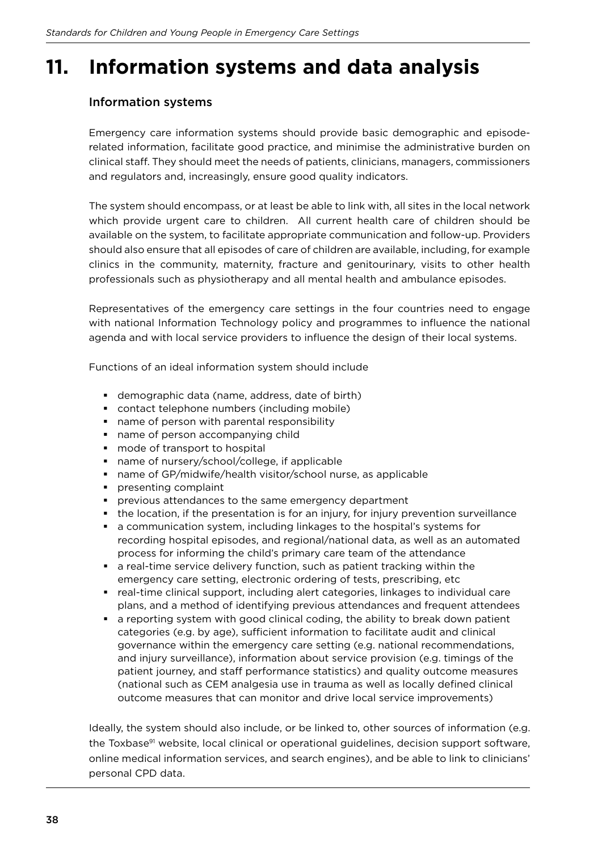### **11. Information systems and data analysis**

### Information systems

Emergency care information systems should provide basic demographic and episoderelated information, facilitate good practice, and minimise the administrative burden on clinical staf. They should meet the needs of patients, clinicians, managers, commissioners and regulators and, increasingly, ensure good quality indicators.

The system should encompass, or at least be able to link with, all sites in the local network which provide urgent care to children. All current health care of children should be available on the system, to facilitate appropriate communication and follow-up. Providers should also ensure that all episodes of care of children are available, including, for example clinics in the community, maternity, fracture and genitourinary, visits to other health professionals such as physiotherapy and all mental health and ambulance episodes.

Representatives of the emergency care settings in the four countries need to engage with national Information Technology policy and programmes to influence the national agenda and with local service providers to influence the design of their local systems.

Functions of an ideal information system should include

- demographic data (name, address, date of birth)
- contact telephone numbers (including mobile)
- name of person with parental responsibility
- name of person accompanying child
- mode of transport to hospital
- name of nursery/school/college, if applicable
- name of GP/midwife/health visitor/school nurse, as applicable
- § presenting complaint
- § previous attendances to the same emergency department
- **•** the location, if the presentation is for an injury, for injury prevention surveillance
- a communication system, including linkages to the hospital's systems for recording hospital episodes, and regional/national data, as well as an automated process for informing the child's primary care team of the attendance
- a real-time service delivery function, such as patient tracking within the emergency care setting, electronic ordering of tests, prescribing, etc
- real-time clinical support, including alert categories, linkages to individual care plans, and a method of identifying previous attendances and frequent attendees
- a reporting system with good clinical coding, the ability to break down patient categories (e.g. by age), sufficient information to facilitate audit and clinical governance within the emergency care setting (e.g. national recommendations, and injury surveillance), information about service provision (e.g. timings of the patient journey, and staff performance statistics) and quality outcome measures (national such as CEM analgesia use in trauma as well as locally defined clinical outcome measures that can monitor and drive local service improvements)

Ideally, the system should also include, or be linked to, other sources of information (e.g. the Toxbase<sup>91</sup> website, local clinical or operational guidelines, decision support software, online medical information services, and search engines), and be able to link to clinicians' personal CPD data.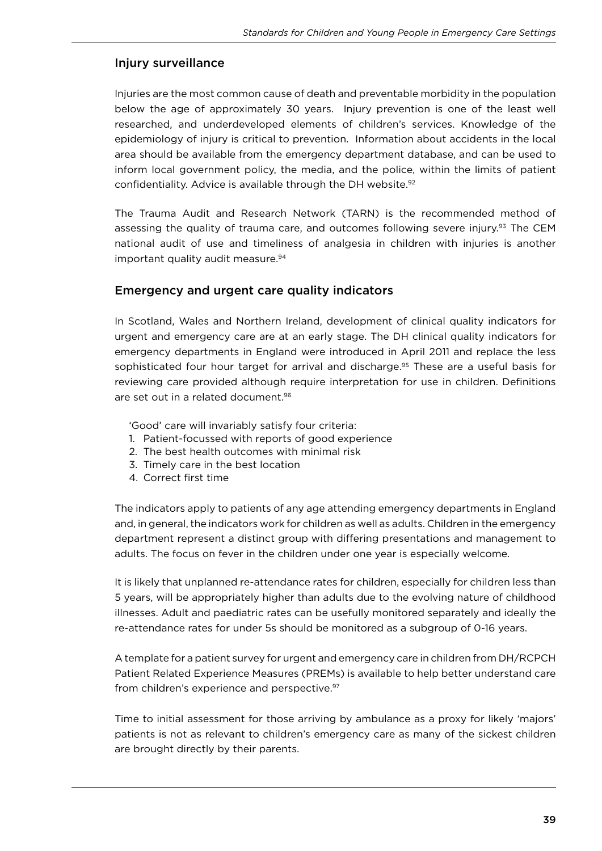#### Injury surveillance

Injuries are the most common cause of death and preventable morbidity in the population below the age of approximately 30 years. Injury prevention is one of the least well researched, and underdeveloped elements of children's services. Knowledge of the epidemiology of injury is critical to prevention. Information about accidents in the local area should be available from the emergency department database, and can be used to inform local government policy, the media, and the police, within the limits of patient confidentiality. Advice is available through the DH website.<sup>92</sup>

The Trauma Audit and Research Network (TARN) is the recommended method of assessing the quality of trauma care, and outcomes following severe injury.<sup>93</sup> The CEM national audit of use and timeliness of analgesia in children with injuries is another important quality audit measure.<sup>94</sup>

#### Emergency and urgent care quality indicators

In Scotland, Wales and Northern Ireland, development of clinical quality indicators for urgent and emergency care are at an early stage. The DH clinical quality indicators for emergency departments in England were introduced in April 2011 and replace the less sophisticated four hour target for arrival and discharge.<sup>95</sup> These are a useful basis for reviewing care provided although require interpretation for use in children. Definitions are set out in a related document.<sup>96</sup>

'Good' care will invariably satisfy four criteria:

- 1. Patient-focussed with reports of good experience
- 2. The best health outcomes with minimal risk
- 3. Timely care in the best location
- 4. Correct first time

The indicators apply to patients of any age attending emergency departments in England and, in general, the indicators work for children as well as adults. Children in the emergency department represent a distinct group with difering presentations and management to adults. The focus on fever in the children under one year is especially welcome.

It is likely that unplanned re-attendance rates for children, especially for children less than 5 years, will be appropriately higher than adults due to the evolving nature of childhood illnesses. Adult and paediatric rates can be usefully monitored separately and ideally the re-attendance rates for under 5s should be monitored as a subgroup of 0-16 years.

A template for a patient survey for urgent and emergency care in children from DH/RCPCH Patient Related Experience Measures (PREMs) is available to help better understand care from children's experience and perspective.<sup>97</sup>

Time to initial assessment for those arriving by ambulance as a proxy for likely 'majors' patients is not as relevant to children's emergency care as many of the sickest children are brought directly by their parents.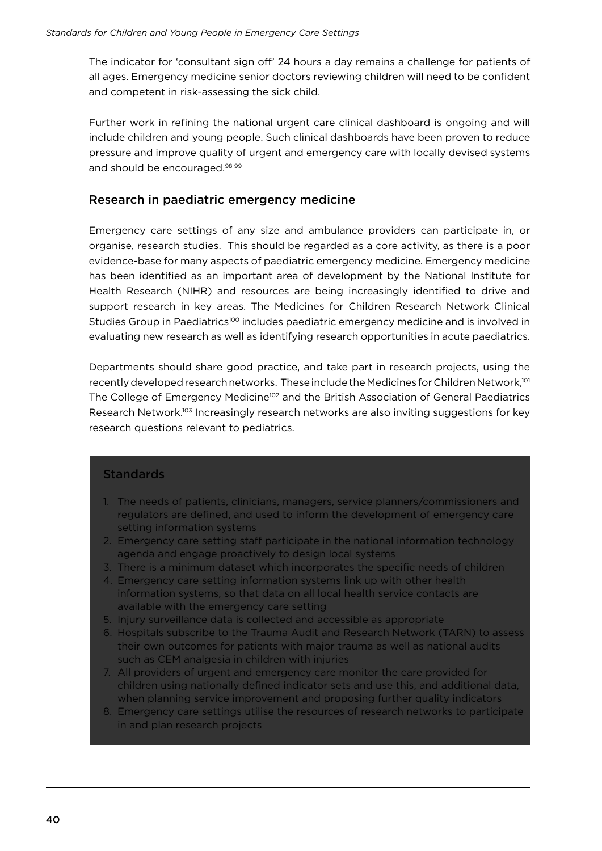The indicator for 'consultant sign off' 24 hours a day remains a challenge for patients of all ages. Emergency medicine senior doctors reviewing children will need to be conident and competent in risk-assessing the sick child.

Further work in refining the national urgent care clinical dashboard is ongoing and will include children and young people. Such clinical dashboards have been proven to reduce pressure and improve quality of urgent and emergency care with locally devised systems and should be encouraged.<sup>98 99</sup>

#### Research in paediatric emergency medicine

Emergency care settings of any size and ambulance providers can participate in, or organise, research studies. This should be regarded as a core activity, as there is a poor evidence-base for many aspects of paediatric emergency medicine. Emergency medicine has been identified as an important area of development by the National Institute for Health Research (NIHR) and resources are being increasingly identified to drive and support research in key areas. The Medicines for Children Research Network Clinical Studies Group in Paediatrics<sup>100</sup> includes paediatric emergency medicine and is involved in evaluating new research as well as identifying research opportunities in acute paediatrics.

Departments should share good practice, and take part in research projects, using the recently developed research networks. These include the Medicines for Children Network,<sup>101</sup> The College of Emergency Medicine<sup>102</sup> and the British Association of General Paediatrics Research Network.103 Increasingly research networks are also inviting suggestions for key research questions relevant to pediatrics.

#### **Standards**

- 1. The needs of patients, clinicians, managers, service planners/commissioners and regulators are defined, and used to inform the development of emergency care setting information systems
- 2. Emergency care setting staff participate in the national information technology agenda and engage proactively to design local systems
- 3. There is a minimum dataset which incorporates the speciic needs of children
- 4. Emergency care setting information systems link up with other health information systems, so that data on all local health service contacts are available with the emergency care setting
- 5. Injury surveillance data is collected and accessible as appropriate
- 6. Hospitals subscribe to the Trauma Audit and Research Network (TARN) to assess their own outcomes for patients with major trauma as well as national audits such as CEM analgesia in children with injuries
- 7. All providers of urgent and emergency care monitor the care provided for children using nationally defined indicator sets and use this, and additional data, when planning service improvement and proposing further quality indicators
- 8. Emergency care settings utilise the resources of research networks to participate in and plan research projects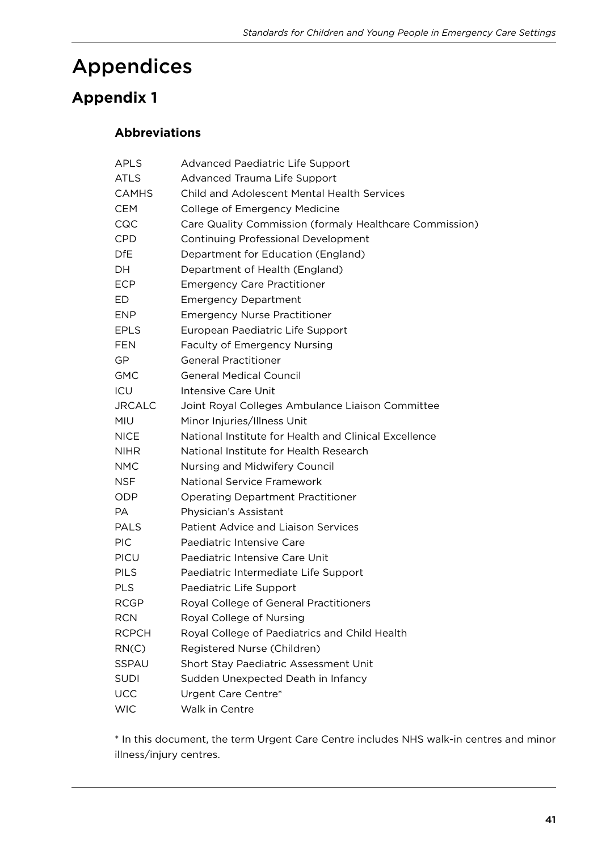### Appendices

### **Appendix 1**

### **Abbreviations**

| APLS          | Advanced Paediatric Life Support                        |
|---------------|---------------------------------------------------------|
| <b>ATLS</b>   | Advanced Trauma Life Support                            |
| <b>CAMHS</b>  | <b>Child and Adolescent Mental Health Services</b>      |
| <b>CEM</b>    | College of Emergency Medicine                           |
| CQC           | Care Quality Commission (formaly Healthcare Commission) |
| <b>CPD</b>    | <b>Continuing Professional Development</b>              |
| <b>DfE</b>    | Department for Education (England)                      |
| DH.           | Department of Health (England)                          |
| <b>ECP</b>    | <b>Emergency Care Practitioner</b>                      |
| ED            | <b>Emergency Department</b>                             |
| <b>ENP</b>    | <b>Emergency Nurse Practitioner</b>                     |
| <b>EPLS</b>   | European Paediatric Life Support                        |
| <b>FEN</b>    | <b>Faculty of Emergency Nursing</b>                     |
| GP            | <b>General Practitioner</b>                             |
| <b>GMC</b>    | <b>General Medical Council</b>                          |
| ICU           | Intensive Care Unit                                     |
| <b>JRCALC</b> | Joint Royal Colleges Ambulance Liaison Committee        |
| <b>MIU</b>    | Minor Injuries/Illness Unit                             |
| <b>NICE</b>   | National Institute for Health and Clinical Excellence   |
| <b>NIHR</b>   | National Institute for Health Research                  |
| <b>NMC</b>    | Nursing and Midwifery Council                           |
| <b>NSF</b>    | <b>National Service Framework</b>                       |
| ODP           | <b>Operating Department Practitioner</b>                |
| PA            | Physician's Assistant                                   |
| <b>PALS</b>   | <b>Patient Advice and Liaison Services</b>              |
| PIC           | Paediatric Intensive Care                               |
| <b>PICU</b>   | Paediatric Intensive Care Unit                          |
| <b>PILS</b>   | Paediatric Intermediate Life Support                    |
| <b>PLS</b>    | Paediatric Life Support                                 |
| <b>RCGP</b>   | Royal College of General Practitioners                  |
| <b>RCN</b>    | Royal College of Nursing                                |
| <b>RCPCH</b>  | Royal College of Paediatrics and Child Health           |
| RN(C)         | Registered Nurse (Children)                             |
| SSPAU         | Short Stay Paediatric Assessment Unit                   |
| <b>SUDI</b>   | Sudden Unexpected Death in Infancy                      |
| <b>UCC</b>    | Urgent Care Centre*                                     |
| <b>WIC</b>    | Walk in Centre                                          |

\* In this document, the term Urgent Care Centre includes NHS walk-in centres and minor illness/injury centres.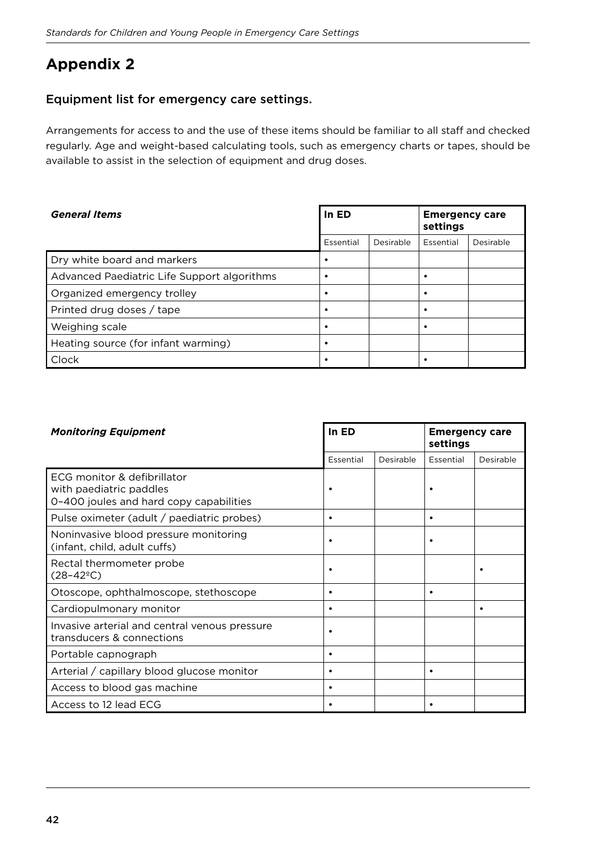### **Appendix 2**

#### Equipment list for emergency care settings.

Arrangements for access to and the use of these items should be familiar to all staff and checked regularly. Age and weight-based calculating tools, such as emergency charts or tapes, should be available to assist in the selection of equipment and drug doses.

| In ED<br><b>General Items</b>               |           |           | <b>Emergency care</b><br>settings |           |
|---------------------------------------------|-----------|-----------|-----------------------------------|-----------|
|                                             | Essential | Desirable | Essential                         | Desirable |
| Dry white board and markers                 | ٠         |           |                                   |           |
| Advanced Paediatric Life Support algorithms | ٠         |           |                                   |           |
| Organized emergency trolley                 | ٠         |           |                                   |           |
| Printed drug doses / tape                   | ٠         |           |                                   |           |
| Weighing scale                              | $\bullet$ |           |                                   |           |
| Heating source (for infant warming)         | ٠         |           |                                   |           |
| Clock                                       | ٠         |           |                                   |           |

| <b>Monitoring Equipment</b>                                                                       |           | In ED     |           | <b>Emergency care</b><br>settings |  |
|---------------------------------------------------------------------------------------------------|-----------|-----------|-----------|-----------------------------------|--|
|                                                                                                   | Essential | Desirable | Essential | Desirable                         |  |
| ECG monitor & defibrillator<br>with paediatric paddles<br>0-400 joules and hard copy capabilities |           |           |           |                                   |  |
| Pulse oximeter (adult / paediatric probes)                                                        | $\bullet$ |           | ٠         |                                   |  |
| Noninvasive blood pressure monitoring<br>(infant, child, adult cuffs)                             | ٠         |           |           |                                   |  |
| Rectal thermometer probe<br>$(28-42^{\circ}C)$                                                    |           |           |           |                                   |  |
| Otoscope, ophthalmoscope, stethoscope                                                             | $\bullet$ |           |           |                                   |  |
| Cardiopulmonary monitor                                                                           | $\bullet$ |           |           | $\bullet$                         |  |
| Invasive arterial and central venous pressure<br>transducers & connections                        | ٠         |           |           |                                   |  |
| Portable capnograph                                                                               | $\bullet$ |           |           |                                   |  |
| Arterial / capillary blood glucose monitor                                                        | $\bullet$ |           | ٠         |                                   |  |
| Access to blood gas machine                                                                       | $\bullet$ |           |           |                                   |  |
| Access to 12 lead ECG                                                                             | $\bullet$ |           |           |                                   |  |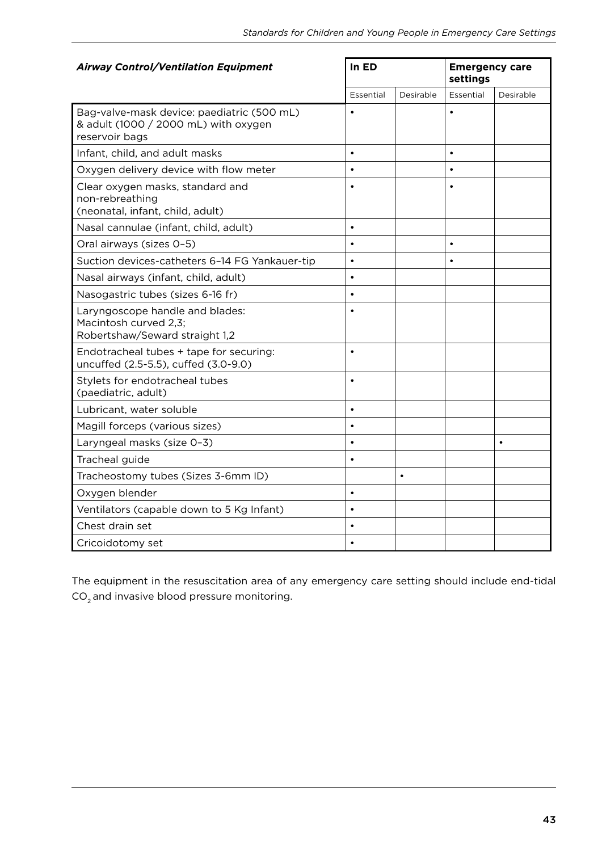| <b>Airway Control/Ventilation Equipment</b>                                                          | In ED     |           | <b>Emergency care</b><br>settings |           |
|------------------------------------------------------------------------------------------------------|-----------|-----------|-----------------------------------|-----------|
|                                                                                                      | Essential | Desirable | Essential                         | Desirable |
| Bag-valve-mask device: paediatric (500 mL)<br>& adult (1000 / 2000 mL) with oxygen<br>reservoir bags |           |           | $\bullet$                         |           |
| Infant, child, and adult masks                                                                       | $\bullet$ |           | $\bullet$                         |           |
| Oxygen delivery device with flow meter                                                               | $\bullet$ |           | $\bullet$                         |           |
| Clear oxygen masks, standard and<br>non-rebreathing<br>(neonatal, infant, child, adult)              | $\bullet$ |           |                                   |           |
| Nasal cannulae (infant, child, adult)                                                                | $\bullet$ |           |                                   |           |
| Oral airways (sizes 0-5)                                                                             |           |           | $\bullet$                         |           |
| Suction devices-catheters 6-14 FG Yankauer-tip                                                       | $\bullet$ |           | $\bullet$                         |           |
| Nasal airways (infant, child, adult)                                                                 | $\bullet$ |           |                                   |           |
| Nasogastric tubes (sizes 6-16 fr)                                                                    | $\bullet$ |           |                                   |           |
| Laryngoscope handle and blades:<br>Macintosh curved 2,3;<br>Robertshaw/Seward straight 1,2           |           |           |                                   |           |
| Endotracheal tubes + tape for securing:<br>uncuffed (2.5-5.5), cuffed (3.0-9.0)                      | $\bullet$ |           |                                   |           |
| Stylets for endotracheal tubes<br>(paediatric, adult)                                                | $\bullet$ |           |                                   |           |
| Lubricant, water soluble                                                                             | $\bullet$ |           |                                   |           |
| Magill forceps (various sizes)                                                                       | $\bullet$ |           |                                   |           |
| Laryngeal masks (size 0-3)                                                                           | $\bullet$ |           |                                   |           |
| Tracheal guide                                                                                       | $\bullet$ |           |                                   |           |
| Tracheostomy tubes (Sizes 3-6mm ID)                                                                  |           | $\bullet$ |                                   |           |
| Oxygen blender                                                                                       | $\bullet$ |           |                                   |           |
| Ventilators (capable down to 5 Kg Infant)                                                            | $\bullet$ |           |                                   |           |
| Chest drain set                                                                                      | $\bullet$ |           |                                   |           |
| Cricoidotomy set                                                                                     | $\bullet$ |           |                                   |           |

The equipment in the resuscitation area of any emergency care setting should include end-tidal  $CO<sub>2</sub>$  and invasive blood pressure monitoring.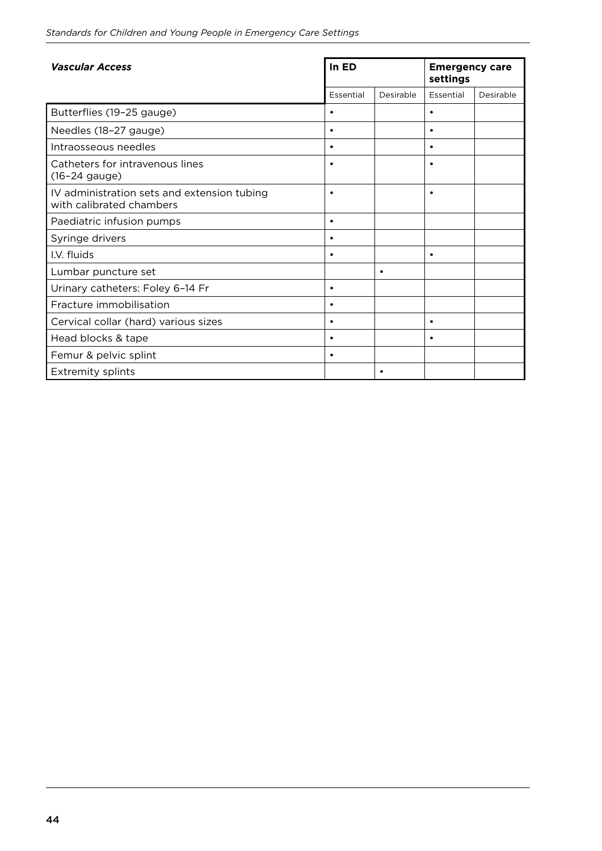| <b>Vascular Access</b>                                                  | In ED     |           | <b>Emergency care</b><br>settings |           |
|-------------------------------------------------------------------------|-----------|-----------|-----------------------------------|-----------|
|                                                                         | Essential | Desirable | Essential                         | Desirable |
| Butterflies (19-25 gauge)                                               | $\bullet$ |           | $\bullet$                         |           |
| Needles (18-27 gauge)                                                   | $\bullet$ |           | $\bullet$                         |           |
| Intraosseous needles                                                    | ٠         |           | $\bullet$                         |           |
| Catheters for intravenous lines<br>(16-24 gauge)                        | $\bullet$ |           | $\bullet$                         |           |
| IV administration sets and extension tubing<br>with calibrated chambers | $\bullet$ |           | $\bullet$                         |           |
| Paediatric infusion pumps                                               | $\bullet$ |           |                                   |           |
| Syringe drivers                                                         | $\bullet$ |           |                                   |           |
| I.V. fluids                                                             | $\bullet$ |           | $\bullet$                         |           |
| Lumbar puncture set                                                     |           | $\bullet$ |                                   |           |
| Urinary catheters: Foley 6-14 Fr                                        | $\bullet$ |           |                                   |           |
| Fracture immobilisation                                                 | $\bullet$ |           |                                   |           |
| Cervical collar (hard) various sizes                                    | $\bullet$ |           | $\bullet$                         |           |
| Head blocks & tape                                                      | $\bullet$ |           | $\bullet$                         |           |
| Femur & pelvic splint                                                   | $\bullet$ |           |                                   |           |
| <b>Extremity splints</b>                                                |           | $\bullet$ |                                   |           |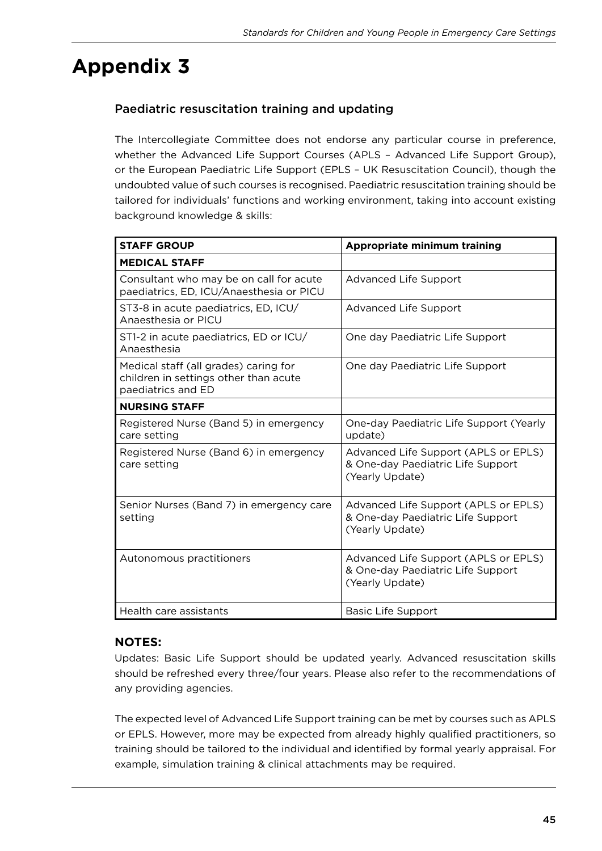# **Appendix 3**

### Paediatric resuscitation training and updating

The Intercollegiate Committee does not endorse any particular course in preference, whether the Advanced Life Support Courses (APLS – Advanced Life Support Group), or the European Paediatric Life Support (EPLS – UK Resuscitation Council), though the undoubted value of such courses is recognised. Paediatric resuscitation training should be tailored for individuals' functions and working environment, taking into account existing background knowledge & skills:

| <b>STAFF GROUP</b>                                                                                   | Appropriate minimum training                                                                 |
|------------------------------------------------------------------------------------------------------|----------------------------------------------------------------------------------------------|
| <b>MEDICAL STAFF</b>                                                                                 |                                                                                              |
| Consultant who may be on call for acute<br>paediatrics, ED, ICU/Anaesthesia or PICU                  | <b>Advanced Life Support</b>                                                                 |
| ST3-8 in acute paediatrics, ED, ICU/<br>Anaesthesia or PICU                                          | <b>Advanced Life Support</b>                                                                 |
| ST1-2 in acute paediatrics, ED or ICU/<br>Anaesthesia                                                | One day Paediatric Life Support                                                              |
| Medical staff (all grades) caring for<br>children in settings other than acute<br>paediatrics and ED | One day Paediatric Life Support                                                              |
| <b>NURSING STAFF</b>                                                                                 |                                                                                              |
| Registered Nurse (Band 5) in emergency<br>care setting                                               | One-day Paediatric Life Support (Yearly<br>update)                                           |
| Registered Nurse (Band 6) in emergency<br>care setting                                               | Advanced Life Support (APLS or EPLS)<br>& One-day Paediatric Life Support<br>(Yearly Update) |
| Senior Nurses (Band 7) in emergency care<br>setting                                                  | Advanced Life Support (APLS or EPLS)<br>& One-day Paediatric Life Support<br>(Yearly Update) |
| Autonomous practitioners                                                                             | Advanced Life Support (APLS or EPLS)<br>& One-day Paediatric Life Support<br>(Yearly Update) |
| Health care assistants                                                                               | <b>Basic Life Support</b>                                                                    |

#### **NOTES:**

Updates: Basic Life Support should be updated yearly. Advanced resuscitation skills should be refreshed every three/four years. Please also refer to the recommendations of any providing agencies.

The expected level of Advanced Life Support training can be met by courses such as APLS or EPLS. However, more may be expected from already highly qualified practitioners, so training should be tailored to the individual and identified by formal yearly appraisal. For example, simulation training & clinical attachments may be required.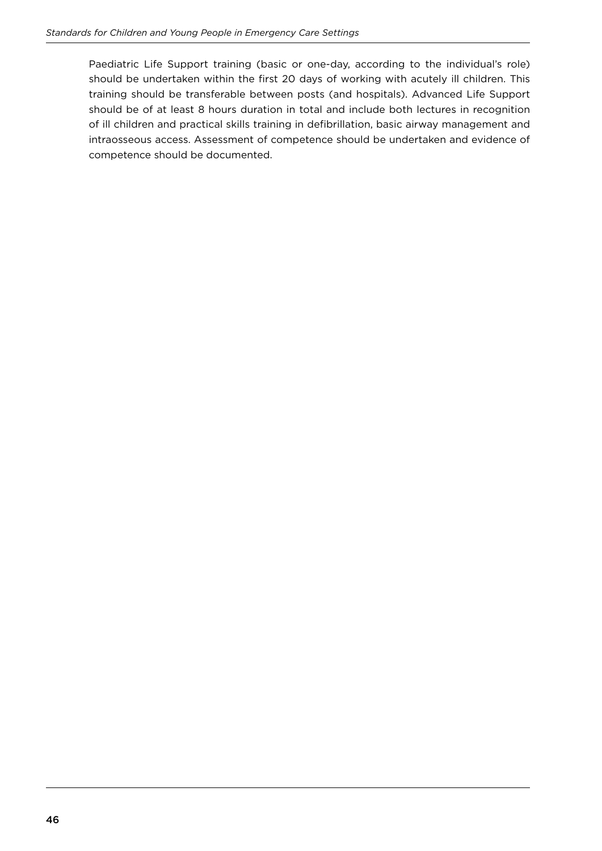Paediatric Life Support training (basic or one-day, according to the individual's role) should be undertaken within the first 20 days of working with acutely ill children. This training should be transferable between posts (and hospitals). Advanced Life Support should be of at least 8 hours duration in total and include both lectures in recognition of ill children and practical skills training in defibrillation, basic airway management and intraosseous access. Assessment of competence should be undertaken and evidence of competence should be documented.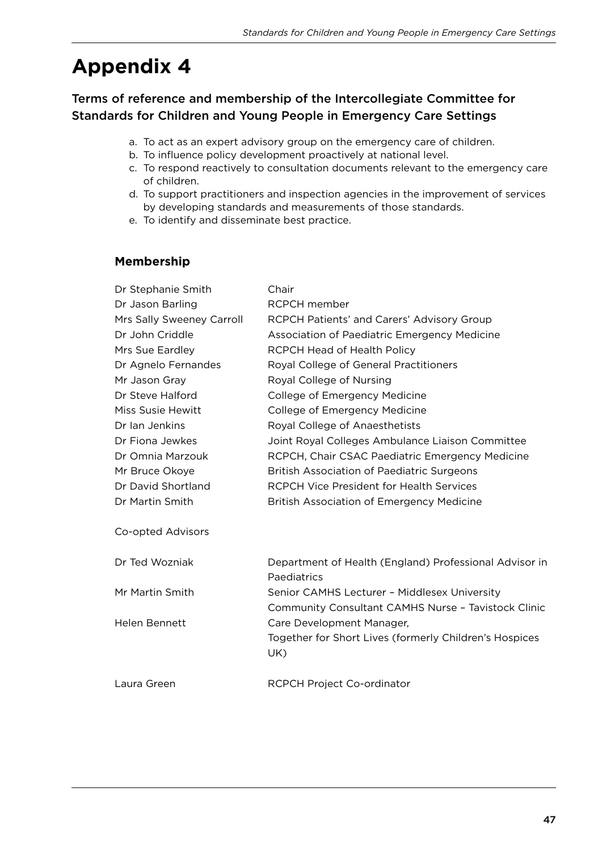# **Appendix 4**

### Terms of reference and membership of the Intercollegiate Committee for Standards for Children and Young People in Emergency Care Settings

- a. To act as an expert advisory group on the emergency care of children.
- b. To influence policy development proactively at national level.
- c. To respond reactively to consultation documents relevant to the emergency care of children.
- d. To support practitioners and inspection agencies in the improvement of services by developing standards and measurements of those standards.
- e. To identify and disseminate best practice.

#### **Membership**

| Dr Stephanie Smith        | Chair                                                                 |
|---------------------------|-----------------------------------------------------------------------|
| Dr Jason Barling          | <b>RCPCH</b> member                                                   |
| Mrs Sally Sweeney Carroll | RCPCH Patients' and Carers' Advisory Group                            |
| Dr John Criddle           | Association of Paediatric Emergency Medicine                          |
| Mrs Sue Eardley           | RCPCH Head of Health Policy                                           |
| Dr Agnelo Fernandes       | Royal College of General Practitioners                                |
| Mr Jason Gray             | Royal College of Nursing                                              |
| Dr Steve Halford          | College of Emergency Medicine                                         |
| Miss Susie Hewitt         | College of Emergency Medicine                                         |
| Dr Ian Jenkins            | Royal College of Anaesthetists                                        |
| Dr Fiona Jewkes           | Joint Royal Colleges Ambulance Liaison Committee                      |
| Dr Omnia Marzouk          | RCPCH, Chair CSAC Paediatric Emergency Medicine                       |
| Mr Bruce Okoye            | <b>British Association of Paediatric Surgeons</b>                     |
| Dr David Shortland        | <b>RCPCH Vice President for Health Services</b>                       |
| Dr Martin Smith           | <b>British Association of Emergency Medicine</b>                      |
| Co-opted Advisors         |                                                                       |
| Dr Ted Wozniak            | Department of Health (England) Professional Advisor in<br>Paediatrics |
| Mr Martin Smith           | Senior CAMHS Lecturer - Middlesex University                          |
|                           | Community Consultant CAMHS Nurse - Tavistock Clinic                   |
| Helen Bennett             | Care Development Manager,                                             |
|                           | Together for Short Lives (formerly Children's Hospices<br>UK)         |
| Laura Green               | RCPCH Project Co-ordinator                                            |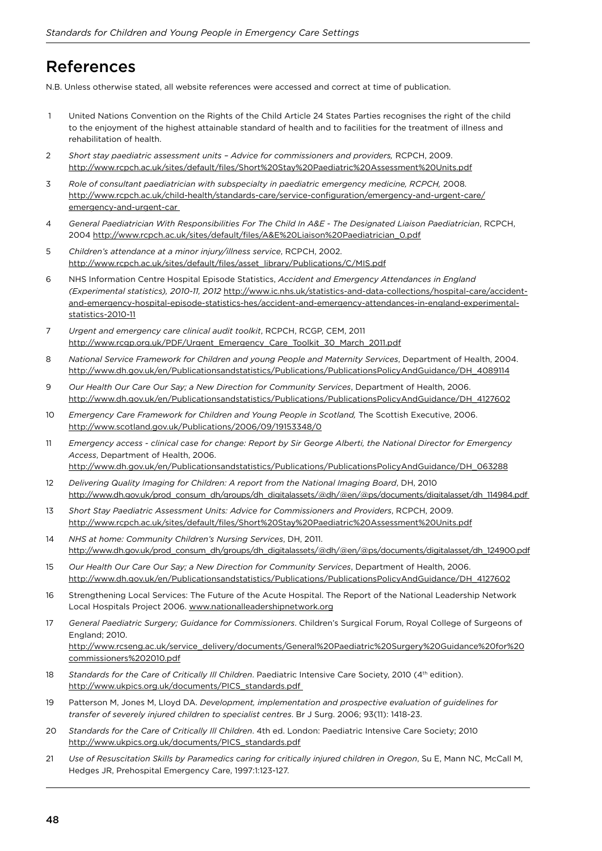### References

N.B. Unless otherwise stated, all website references were accessed and correct at time of publication.

- 1 United Nations Convention on the Rights of the Child Article 24 States Parties recognises the right of the child to the enjoyment of the highest attainable standard of health and to facilities for the treatment of illness and rehabilitation of health.
- 2 *Short stay paediatric assessment units Advice for commissioners and providers,* RCPCH, 2009. http://www.rcpch.ac.uk/sites/default/files/Short%20Stay%20Paediatric%20Assessment%20Units.pdf
- 3 *Role of consultant paediatrician with subspecialty in paediatric emergency medicine, RCPCH,* 2008. [http://www.rcpch.ac.uk/child-health/standards-care/service-coniguration/emergency-and-urgent-care/](http://www.rcpch.ac.uk/child-health/standards-care/service-configuration/emergency-and-urgent-care/emergency-and-urgent-car) [emergency-and-urgent-car](http://www.rcpch.ac.uk/child-health/standards-care/service-configuration/emergency-and-urgent-care/emergency-and-urgent-car)
- 4 *General Paediatrician With Responsibilities For The Child In A&E The Designated Liaison Paediatrician*, RCPCH, 2004 [http://www.rcpch.ac.uk/sites/default/iles/A&E%20Liaison%20Paediatrician\\_0.pdf](http://www.rcpch.ac.uk/sites/default/files/A&E%20Liaison%20Paediatrician_0.pdf)
- 5 *Children's attendance at a minor injury/illness service*, RCPCH, 2002. http://www.rcpch.ac.uk/sites/default/files/asset\_library/Publications/C/MIS.pdf
- 6 NHS Information Centre Hospital Episode Statistics, *Accident and Emergency Attendances in England (Experimental statistics), 2010-11, 2012* http://www.ic.nhs.uk/statistics-and-data-collections/hospital-care/accidentand-emergency-hospital-episode-statistics-hes/accident-and-emergency-attendances-in-england-experimentalstatistics-2010-11
- 7 *Urgent and emergency care clinical audit toolkit*, RCPCH, RCGP, CEM, 2011 [http://www.rcgp.org.uk/PDF/Urgent\\_Emergency\\_Care\\_Toolkit\\_30\\_March\\_2011.pdf](http://www.rcgp.org.uk/PDF/Urgent_Emergency_Care_Toolkit_30_March_2011.pdf)
- 8 *National Service Framework for Children and young People and Maternity Services*, Department of Health, 2004. [http://www.dh.gov.uk/en/Publicationsandstatistics/Publications/PublicationsPolicyAndGuidance/DH\\_4089114](http://www.dh.gov.uk/en/Publicationsandstatistics/Publications/PublicationsPolicyAndGuidance/DH_4089114)
- 9 *Our Health Our Care Our Say; a New Direction for Community Services*, Department of Health, 2006. [http://www.dh.gov.uk/en/Publicationsandstatistics/Publications/PublicationsPolicyAndGuidance/DH\\_4127602](http://www.dh.gov.uk/en/Publicationsandstatistics/Publications/PublicationsPolicyAndGuidance/DH_4127602)
- 10 *Emergency Care Framework for Children and Young People in Scotland*, The Scottish Executive, 2006. <http://www.scotland.gov.uk/Publications/2006/09/19153348/0>
- 11 *Emergency access clinical case for change: Report by Sir George Alberti, the National Director for Emergency Access*, Department of Health, 2006. [http://www.dh.gov.uk/en/Publicationsandstatistics/Publications/PublicationsPolicyAndGuidance/DH\\_063288](http://www.dh.gov.uk/en/Publicationsandstatistics/Publications/PublicationsPolicyAndGuidance/DH_063288)
- 12 *Delivering Quality Imaging for Children: A report from the National Imaging Board*, DH, 2010 [http://www.dh.gov.uk/prod\\_consum\\_dh/groups/dh\\_digitalassets/@dh/@en/@ps/documents/digitalasset/dh\\_114984.pdf](http://www.dh.gov.uk/prod_consum_dh/groups/dh_digitalassets/@dh/@en/@ps/documents/digitalasset/dh_114984.pdf)
- 13 *Short Stay Paediatric Assessment Units: Advice for Commissioners and Providers*, RCPCH, 2009. [http://www.rcpch.ac.uk/sites/default/iles/Short%20Stay%20Paediatric%20Assessment%20Units.pdf](http://www.rcpch.ac.uk/sites/default/files/Short%20Stay%20Paediatric%20Assessment%20Units.pdf)
- 14 *NHS at home: Community Children's Nursing Services*, DH, 2011. [http://www.dh.gov.uk/prod\\_consum\\_dh/groups/dh\\_digitalassets/@dh/@en/@ps/documents/digitalasset/dh\\_124900.pdf](http://www.dh.gov.uk/prod_consum_dh/groups/dh_digitalassets/@dh/@en/@ps/documents/digitalasset/dh_124900.pdf)
- 15 *Our Health Our Care Our Say; a New Direction for Community Services*, Department of Health, 2006. [http://www.dh.gov.uk/en/Publicationsandstatistics/Publications/PublicationsPolicyAndGuidance/DH\\_4127602](http://www.dh.gov.uk/en/Publicationsandstatistics/Publications/PublicationsPolicyAndGuidance/DH_4127602)
- 16 Strengthening Local Services: The Future of the Acute Hospital. The Report of the National Leadership Network Local Hospitals Project 2006.<www.nationalleadershipnetwork.org>
- 17 *General Paediatric Surgery; Guidance for Commissioners*. Children's Surgical Forum, Royal College of Surgeons of England; 2010. [http://www.rcseng.ac.uk/service\\_delivery/documents/General%20Paediatric%20Surgery%20Guidance%20for%20](http://www.rcseng.ac.uk/service_delivery/documents/General%20Paediatric%20Surgery%20Guidance%20for%20commissioners%202010.pdf) [commissioners%202010.pdf](http://www.rcseng.ac.uk/service_delivery/documents/General%20Paediatric%20Surgery%20Guidance%20for%20commissioners%202010.pdf)
- 18 *Standards for the Care of Critically III Children*. Paediatric Intensive Care Society, 2010 (4<sup>th</sup> edition). [http://www.ukpics.org.uk/documents/PICS\\_standards.pdf](http://www.ukpics.org.uk/documents/PICS_standards.pdf)
- 19 Patterson M, Jones M, Lloyd DA. *Development, implementation and prospective evaluation of guidelines for transfer of severely injured children to specialist centres*. Br J Surg. 2006; 93(11): 1418-23.
- 20 *Standards for the Care of Critically Ill Children*. 4th ed. London: Paediatric Intensive Care Society; 2010 [http://www.ukpics.org.uk/documents/PICS\\_standards.pdf](http://www.ukpics.org.uk/documents/PICS_standards.pdf)
- 21 *Use of Resuscitation Skills by Paramedics caring for critically injured children in Oregon*, Su E, Mann NC, McCall M, Hedges JR, Prehospital Emergency Care, 1997:1:123-127.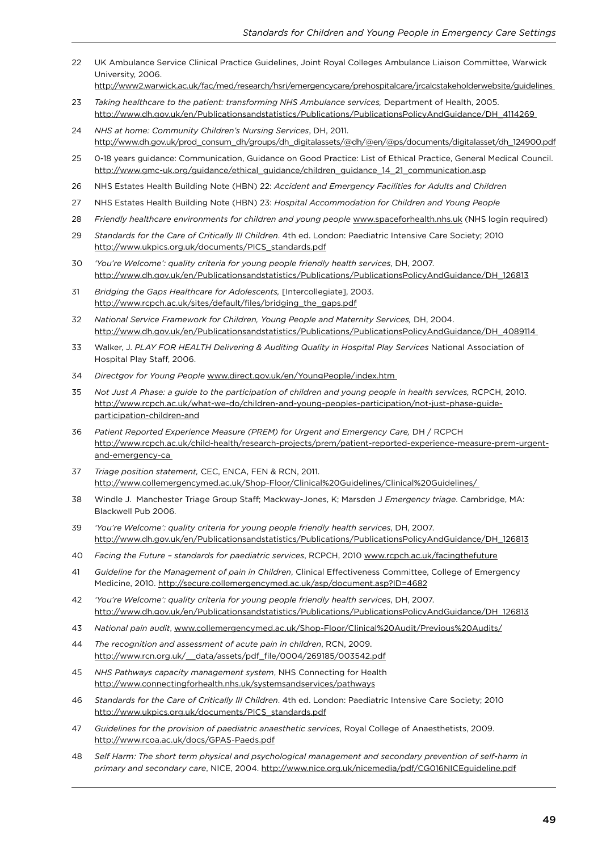- 22 UK Ambulance Service Clinical Practice Guidelines, Joint Royal Colleges Ambulance Liaison Committee, Warwick University, 2006.
- <http://www2.warwick.ac.uk/fac/med/research/hsri/emergencycare/prehospitalcare/jrcalcstakeholderwebsite/guidelines>
- 23 *Taking healthcare to the patient: transforming NHS Ambulance services,* Department of Health, 2005. [http://www.dh.gov.uk/en/Publicationsandstatistics/Publications/PublicationsPolicyAndGuidance/DH\\_4114269](http://www.dh.gov.uk/en/Publicationsandstatistics/Publications/PublicationsPolicyAndGuidance/DH_4114269)
- 24 *NHS at home: Community Children's Nursing Services*, DH, 2011. [http://www.dh.gov.uk/prod\\_consum\\_dh/groups/dh\\_digitalassets/@dh/@en/@ps/documents/digitalasset/dh\\_124900.pdf](http://www.dh.gov.uk/prod_consum_dh/groups/dh_digitalassets/@dh/@en/@ps/documents/digitalasset/dh_124900.pdf)
- 25 0-18 years guidance: Communication, Guidance on Good Practice: List of Ethical Practice, General Medical Council. [http://www.gmc-uk.org/guidance/ethical\\_guidance/children\\_guidance\\_14\\_21\\_communication.asp](http://www.gmc-uk.org/guidance/ethical_guidance/children_guidance_14_21_communication.asp)
- 26 NHS Estates Health Building Note (HBN) 22: *Accident and Emergency Facilities for Adults and Children*
- 27 NHS Estates Health Building Note (HBN) 23: *Hospital Accommodation for Children and Young People*
- 28 *Friendly healthcare environments for children and young people*<www.spaceforhealth.nhs.uk> (NHS login required)
- 29 *Standards for the Care of Critically Ill Children*. 4th ed. London: Paediatric Intensive Care Society; 2010 [http://www.ukpics.org.uk/documents/PICS\\_standards.pdf](http://www.ukpics.org.uk/documents/PICS_standards.pdf)
- 30 *'You're Welcome': quality criteria for young people friendly health services*, DH, 2007. [http://www.dh.gov.uk/en/Publicationsandstatistics/Publications/PublicationsPolicyAndGuidance/DH\\_126813](http://www.dh.gov.uk/en/Publicationsandstatistics/Publications/PublicationsPolicyAndGuidance/DH_126813)
- 31 *Bridging the Gaps Healthcare for Adolescents,* [Intercollegiate], 2003. http://www.rcpch.ac.uk/sites/default/files/bridging\_the\_gaps.pdf
- 32 *National Service Framework for Children, Young People and Maternity Services,* DH, 2004. [http://www.dh.gov.uk/en/Publicationsandstatistics/Publications/PublicationsPolicyAndGuidance/DH\\_4089114](http://www.dh.gov.uk/en/Publicationsandstatistics/Publications/PublicationsPolicyAndGuidance/DH_4089114)
- 33 Walker, J. *PLAY FOR HEALTH Delivering & Auditing Quality in Hospital Play Services* National Association of Hospital Play Staff, 2006.
- 34 *Directgov for Young People* <www.direct.gov.uk/en/YoungPeople/index.htm>
- 35 *Not Just A Phase: a guide to the participation of children and young people in health services,* RCPCH, 2010. [http://www.rcpch.ac.uk/what-we-do/children-and-young-peoples-participation/not-just-phase-guide](http://www.rcpch.ac.uk/what-we-do/children-and-young-peoples-participation/not-just-phase-guide-participation-children-and)[participation-children-and](http://www.rcpch.ac.uk/what-we-do/children-and-young-peoples-participation/not-just-phase-guide-participation-children-and)
- 36 *Patient Reported Experience Measure (PREM) for Urgent and Emergency Care,* DH / RCPCH [http://www.rcpch.ac.uk/child-health/research-projects/prem/patient-reported-experience-measure-prem-urgent](http://www.rcpch.ac.uk/child-health/research-projects/prem/patient-reported-experience-measure-prem-urgent-and-emergency-ca)[and-emergency-ca](http://www.rcpch.ac.uk/child-health/research-projects/prem/patient-reported-experience-measure-prem-urgent-and-emergency-ca)
- 37 *Triage position statement,* CEC, ENCA, FEN & RCN, 2011. <http://www.collemergencymed.ac.uk/Shop-Floor/Clinical%20Guidelines/Clinical%20Guidelines/>
- 38 Windle J. Manchester Triage Group Staf; Mackway-Jones, K; Marsden J *Emergency triage*. Cambridge, MA: Blackwell Pub 2006.
- 39 *'You're Welcome': quality criteria for young people friendly health services*, DH, 2007. [http://www.dh.gov.uk/en/Publicationsandstatistics/Publications/PublicationsPolicyAndGuidance/DH\\_126813](http://www.dh.gov.uk/en/Publicationsandstatistics/Publications/PublicationsPolicyAndGuidance/DH_126813)
- 40 *Facing the Future standards for paediatric services*, RCPCH, 2010 www.rcpch.ac.uk/facingthefuture
- 41 *Guideline for the Management of pain in Children*, Clinical Efectiveness Committee, College of Emergency Medicine, 2010. <http://secure.collemergencymed.ac.uk/asp/document.asp?ID=4682>
- 42 *'You're Welcome': quality criteria for young people friendly health services*, DH, 2007. [http://www.dh.gov.uk/en/Publicationsandstatistics/Publications/PublicationsPolicyAndGuidance/DH\\_126813](http://http://www.dh.gov.uk/en/Publicationsandstatistics/Publications/PublicationsPolicyAndGuidance/DH_126813)
- 43 *National pain audit*, <www.collemergencymed.ac.uk/Shop-Floor/Clinical%20Audit/Previous%20Audits/>
- 44 *The recognition and assessment of acute pain in children*, RCN, 2009. http://www.rcn.org.uk/\_\_data/assets/pdf\_file/0004/269185/003542.pdf
- 45 *NHS Pathways capacity management system*, NHS Connecting for Health <http://www.connectingforhealth.nhs.uk/systemsandservices/pathways>
- 46 *Standards for the Care of Critically Ill Children*. 4th ed. London: Paediatric Intensive Care Society; 2010 [http://www.ukpics.org.uk/documents/PICS\\_standards.pdf](http://www.ukpics.org.uk/documents/PICS_standards.pdf)
- 47 *Guidelines for the provision of paediatric anaesthetic services*, Royal College of Anaesthetists, 2009. <http://www.rcoa.ac.uk/docs/GPAS-Paeds.pdf>
- 48 *Self Harm: The short term physical and psychological management and secondary prevention of self-harm in primary and secondary care*, NICE, 2004. <http://www.nice.org.uk/nicemedia/pdf/CG016NICEguideline.pdf>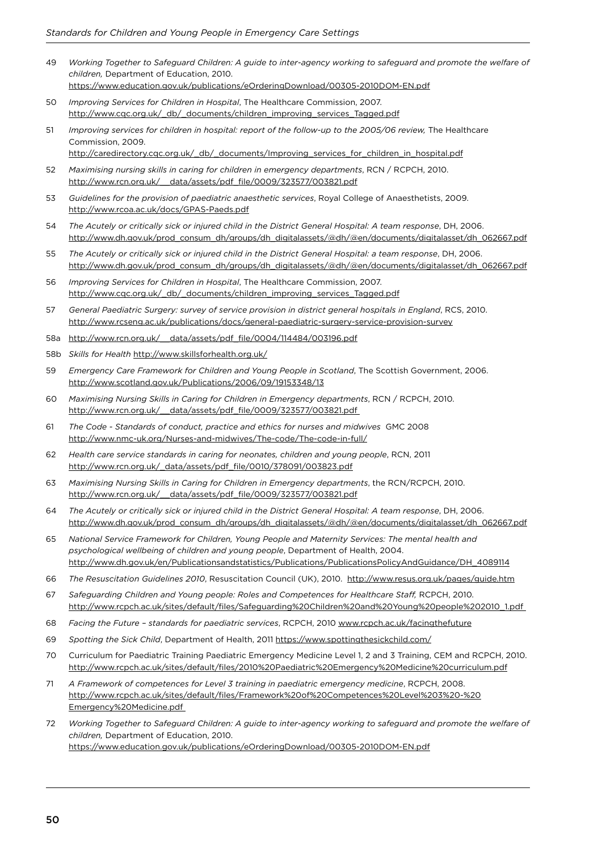- 49 *Working Together to Safeguard Children: A guide to inter-agency working to safeguard and promote the welfare of children,* Department of Education, 2010. <https://www.education.gov.uk/publications/eOrderingDownload/00305-2010DOM-EN.pdf>
- 50 *Improving Services for Children in Hospital*, The Healthcare Commission, 2007. [http://www.cqc.org.uk/\\_db/\\_documents/children\\_improving\\_services\\_Tagged.pdf](http://www.cqc.org.uk/_db/_documents/children_improving_services_Tagged.pdf)
- 51 *Improving services for children in hospital: report of the follow-up to the 2005/06 review,* The Healthcare Commission, 2009.

[http://caredirectory.cqc.org.uk/\\_db/\\_documents/Improving\\_services\\_for\\_children\\_in\\_hospital.pdf](http://caredirectory.cqc.org.uk/_db/_documents/Improving_services_for_children_in_hospital.pdf)

- 52 *Maximising nursing skills in caring for children in emergency departments*, RCN / RCPCH, 2010. http://www.rcn.org.uk/ data/assets/pdf\_file/0009/323577/003821.pdf
- 53 *Guidelines for the provision of paediatric anaesthetic services*, Royal College of Anaesthetists, 2009. <http://www.rcoa.ac.uk/docs/GPAS-Paeds.pdf>
- 54 *The Acutely or critically sick or injured child in the District General Hospital: A team response*, DH, 2006. [http://www.dh.gov.uk/prod\\_consum\\_dh/groups/dh\\_digitalassets/@dh/@en/documents/digitalasset/dh\\_062667.pdf](http://www.dh.gov.uk/prod_consum_dh/groups/dh_digitalassets/@dh/@en/documents/digitalasset/dh_062667.pdf)
- 55 *The Acutely or critically sick or injured child in the District General Hospital: a team response*, DH, 2006. [http://www.dh.gov.uk/prod\\_consum\\_dh/groups/dh\\_digitalassets/@dh/@en/documents/digitalasset/dh\\_062667.pdf](http://www.dh.gov.uk/prod_consum_dh/groups/dh_digitalassets/@dh/@en/documents/digitalasset/dh_062667.pdf)
- 56 *Improving Services for Children in Hospital*, The Healthcare Commission, 2007. [http://www.cqc.org.uk/\\_db/\\_documents/children\\_improving\\_services\\_Tagged.pdf](http://www.cqc.org.uk/_db/_documents/children_improving_services_Tagged.pdf)
- 57 *General Paediatric Surgery: survey of service provision in district general hospitals in England*, RCS, 2010. <http://www.rcseng.ac.uk/publications/docs/general-paediatric-surgery-service-provision-survey>
- 58a [http://www.rcn.org.uk/\\_\\_data/assets/pdf\\_ile/0004/114484/003196.pdf](http://www.rcn.org.uk/__data/assets/pdf_file/0004/114484/003196.pdf)
- 58b *Skills for Health* <http://www.skillsforhealth.org.uk/>
- 59 *Emergency Care Framework for Children and Young People in Scotland*, The Scottish Government, 2006. <http://www.scotland.gov.uk/Publications/2006/09/19153348/13>
- 60 *Maximising Nursing Skills in Caring for Children in Emergency departments*, RCN / RCPCH, 2010. http://www.rcn.org.uk/\_data/assets/pdf\_file/0009/323577/003821.pdf
- 61 *The Code Standards of conduct, practice and ethics for nurses and midwives* GMC 2008 <http://www.nmc-uk.org/Nurses-and-midwives/The-code/The-code-in-full/>
- 62 *Health care service standards in caring for neonates, children and young people*, RCN, 2011 http://www.rcn.org.uk/\_data/assets/pdf\_file/0010/378091/003823.pdf
- 63 *Maximising Nursing Skills in Caring for Children in Emergency departments*, the RCN/RCPCH, 2010. http://www.rcn.org.uk/\_data/assets/pdf\_file/0009/323577/003821.pdf
- 64 *The Acutely or critically sick or injured child in the District General Hospital: A team response*, DH, 2006. [http://www.dh.gov.uk/prod\\_consum\\_dh/groups/dh\\_digitalassets/@dh/@en/documents/digitalasset/dh\\_062667.pdf](http://www.dh.gov.uk/prod_consum_dh/groups/dh_digitalassets/@dh/@en/documents/digitalasset/dh_062667.pdf)
- 65 *National Service Framework for Children, Young People and Maternity Services: The mental health and psychological wellbeing of children and young people*, Department of Health, 2004. [http://www.dh.gov.uk/en/Publicationsandstatistics/Publications/PublicationsPolicyAndGuidance/DH\\_4089114](http://www.dh.gov.uk/en/Publicationsandstatistics/Publications/PublicationsPolicyAndGuidance/DH_4089114)
- 66 *The Resuscitation Guidelines 2010*, Resuscitation Council (UK), 2010. <http://www.resus.org.uk/pages/guide.htm>
- 67 *Safeguarding Children and Young people: Roles and Competences for Healthcare Staf,* RCPCH, 2010. [http://www.rcpch.ac.uk/sites/default/iles/Safeguarding%20Children%20and%20Young%20people%202010\\_1.pdf](http://www.rcpch.ac.uk/sites/default/files/Safeguarding%20Children%20and%20Young%20people%202010_1.pdf)
- 68 *Facing the Future standards for paediatric services*, RCPCH, 2010 <www.rcpch.ac.uk/facingthefuture>
- 69 *Spotting the Sick Child*, Department of Health, 2011 <https://www.spottingthesickchild.com/>
- 70 Curriculum for Paediatric Training Paediatric Emergency Medicine Level 1, 2 and 3 Training, CEM and RCPCH, 2010. [http://www.rcpch.ac.uk/sites/default/iles/2010%20Paediatric%20Emergency%20Medicine%20curriculum.pdf](http://www.rcpch.ac.uk/sites/default/files/2010%20Paediatric%20Emergency%20Medicine%20curriculum.pdf)
- 71 *A Framework of competences for Level 3 training in paediatric emergency medicine*, RCPCH, 2008. [http://www.rcpch.ac.uk/sites/default/iles/Framework%20of%20Competences%20Level%203%20-%20](http://www.rcpch.ac.uk/sites/default/files/Framework%20of%20Competences%20Level%203%20-%20) <Emergency%20Medicine.pdf>
- 72 *Working Together to Safeguard Children: A guide to inter-agency working to safeguard and promote the welfare of children,* Department of Education, 2010. <https://www.education.gov.uk/publications/eOrderingDownload/00305-2010DOM-EN.pdf>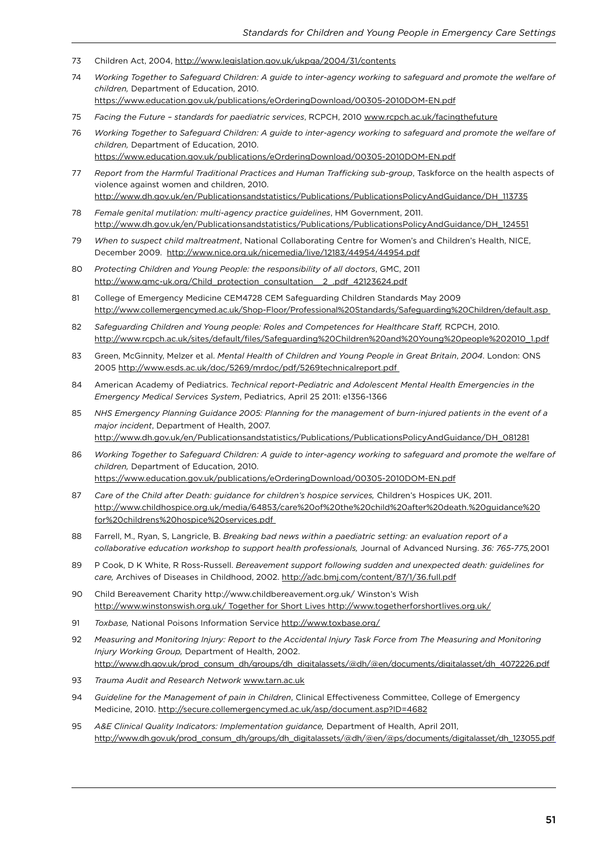- 73 Children Act, 2004,<http://www.legislation.gov.uk/ukpga/2004/31/contents>
- 74 *Working Together to Safeguard Children: A guide to inter-agency working to safeguard and promote the welfare of children,* Department of Education, 2010.
- <https://www.education.gov.uk/publications/eOrderingDownload/00305-2010DOM-EN.pdf>
- 75 *Facing the Future standards for paediatric services*, RCPCH, 2010<www.rcpch.ac.uk/facingthefuture>
- 76 *Working Together to Safeguard Children: A guide to inter-agency working to safeguard and promote the welfare of children,* Department of Education, 2010.

<https://www.education.gov.uk/publications/eOrderingDownload/00305-2010DOM-EN.pdf>

- 77 Report from the Harmful Traditional Practices and Human Trafficking sub-group, Taskforce on the health aspects of violence against women and children, 2010. [http://www.dh.gov.uk/en/Publicationsandstatistics/Publications/PublicationsPolicyAndGuidance/DH\\_113735](http://www.dh.gov.uk/en/Publicationsandstatistics/Publications/PublicationsPolicyAndGuidance/DH_113735)
- 78 *Female genital mutilation: multi-agency practice guidelines*, HM Government, 2011. [http://www.dh.gov.uk/en/Publicationsandstatistics/Publications/PublicationsPolicyAndGuidance/DH\\_124551](http://www.dh.gov.uk/en/Publicationsandstatistics/Publications/PublicationsPolicyAndGuidance/DH_124551)
- 79 *When to suspect child maltreatment*, National Collaborating Centre for Women's and Children's Health, NICE, December 2009. <http://www.nice.org.uk/nicemedia/live/12183/44954/44954.pdf>
- 80 *Protecting Children and Young People: the responsibility of all doctors*, GMC, 2011 [http://www.gmc-uk.org/Child\\_protection\\_consultation\\_\\_2\\_.pdf\\_42123624.pdf](http://www.gmc-uk.org/Child_protection_consultation__2_.pdf_42123624.pdf)
- 81 College of Emergency Medicine CEM4728 CEM Safeguarding Children Standards May 2009 <http://www.collemergencymed.ac.uk/Shop-Floor/Professional%20Standards/Safeguarding%20Children/default.asp>
- 82 *Safeguarding Children and Young people: Roles and Competences for Healthcare Staf,* RCPCH, 2010. http://www.rcpch.ac.uk/sites/default/files/Safeguarding%20Children%20and%20Young%20people%202010\_1.pdf
- 83 Green, McGinnity, Melzer et al. *Mental Health of Children and Young People in Great Britain*, *2004*. London: ONS 2005<http://www.esds.ac.uk/doc/5269/mrdoc/pdf/5269technicalreport.pdf>
- 84 American Academy of Pediatrics. *Technical report-Pediatric and Adolescent Mental Health Emergencies in the Emergency Medical Services System*, Pediatrics, April 25 2011: e1356-1366
- 85 *NHS Emergency Planning Guidance 2005: Planning for the management of burn-injured patients in the event of a major incident*, Department of Health, 2007. [http://www.dh.gov.uk/en/Publicationsandstatistics/Publications/PublicationsPolicyAndGuidance/DH\\_081281](http://www.dh.gov.uk/en/Publicationsandstatistics/Publications/PublicationsPolicyAndGuidance/DH_081281)
- 86 *Working Together to Safeguard Children: A guide to inter-agency working to safeguard and promote the welfare of children,* Department of Education, 2010. [https://www.education.gov.uk/publications/eOrderingDownload/00305-2010DOM-EN.pdf](www.tarn.ac.uk)
- 87 *Care of the Child after Death: guidance for children's hospice services,* Children's Hospices UK, 2011. [http://www.childhospice.org.uk/media/64853/care%20of%20the%20child%20after%20death.%20guidance%20](http://www.childhospice.org.uk/media/64853/care%20of%20the%20child%20after%20death.%20guidance%20for%20childrens%20hospice%20services.pdf) [for%20childrens%20hospice%20services.pdf](http://www.childhospice.org.uk/media/64853/care%20of%20the%20child%20after%20death.%20guidance%20for%20childrens%20hospice%20services.pdf)
- 88 Farrell, M., Ryan, S, Langricle, B. *Breaking bad news within a paediatric setting: an evaluation report of a collaborative education workshop to support health professionals,* Journal of Advanced Nursing. *36: 765-775,*2001
- 89 P Cook, D K White, R Ross-Russell. *Bereavement support following sudden and unexpected death: guidelines for care,* Archives of Diseases in Childhood, 2002. <http://adc.bmj.com/content/87/1/36.full.pdf>
- 90 Child Bereavement Charity http://www.childbereavement.org.uk/ Winston's Wish <http://www.winstonswish.org.uk/ Together for Short Lives http://www.togetherforshortlives.org.uk/>
- 91 *Toxbase,* National Poisons Information Service <http://www.toxbase.org/>
- 92 *Measuring and Monitoring Injury: Report to the Accidental Injury Task Force from The Measuring and Monitoring Injury Working Group,* Department of Health, 2002. [http://www.dh.gov.uk/prod\\_consum\\_dh/groups/dh\\_digitalassets/@dh/@en/documents/digitalasset/dh\\_4072226.pdf](http://www.dh.gov.uk/prod_consum_dh/groups/dh_digitalassets/@dh/@en/documents/digitalasset/dh_4072226.pdf)
- 93 *Trauma Audit and Research Network* www.tarn.ac.uk
- 94 *Guideline for the Management of pain in Children*, Clinical Efectiveness Committee, College of Emergency Medicine, 2010. <http://secure.collemergencymed.ac.uk/asp/document.asp?ID=4682>
- 95 *A&E Clinical Quality Indicators: Implementation guidance,* Department of Health, April 2011, [http://www.dh.gov.uk/prod\\_consum\\_dh/groups/dh\\_digitalassets/@dh/@en/@ps/documents/digitalasset/dh\\_123055.pdf](http://www.dh.gov.uk/prod_consum_dh/groups/dh_digitalassets/@dh/@en/@ps/documents/digitalasset/dh_123055.pdf)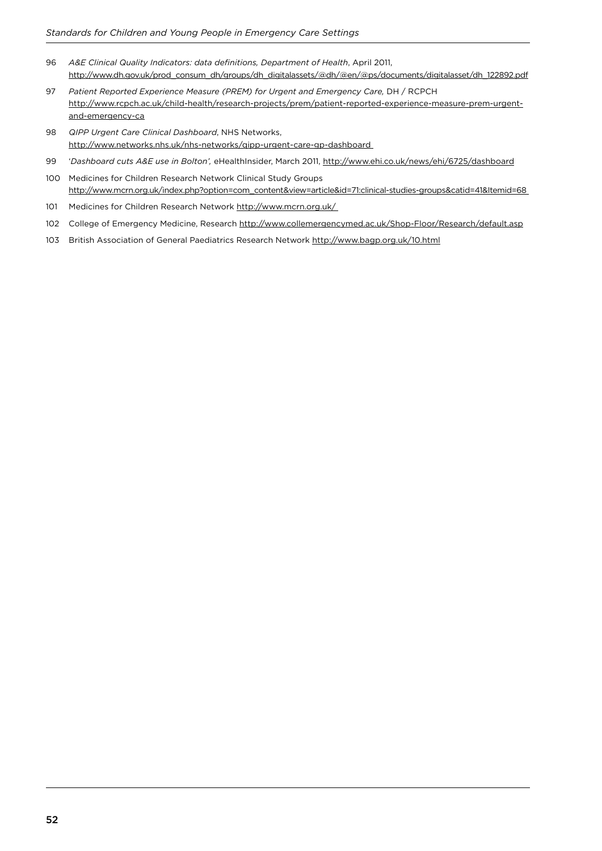- 96 *A&E Clinical Quality Indicators: data deinitions, Department of Health*, April 2011, [http://www.dh.gov.uk/prod\\_consum\\_dh/groups/dh\\_digitalassets/@dh/@en/@ps/documents/digitalasset/dh\\_122892.pdf](http://www.dh.gov.uk/prod_consum_dh/groups/dh_digitalassets/@dh/@en/@ps/documents/digitalasset/dh_122892.pdf)
- 97 *Patient Reported Experience Measure (PREM) for Urgent and Emergency Care,* DH / RCPCH [http://www.rcpch.ac.uk/child-health/research-projects/prem/patient-reported-experience-measure-prem-urgent](http://www.rcpch.ac.uk/child-health/research-projects/prem/patient-reported-experience-measure-prem-urgent-and-emergency-ca)[and-emergency-ca](http://www.rcpch.ac.uk/child-health/research-projects/prem/patient-reported-experience-measure-prem-urgent-and-emergency-ca)
- 98 *QIPP Urgent Care Clinical Dashboard*, NHS Networks, <http://www.networks.nhs.uk/nhs-networks/qipp-urgent-care-gp-dashboard>
- 99 '*Dashboard cuts A&E use in Bolton',* eHealthInsider, March 2011,<http://www.ehi.co.uk/news/ehi/6725/dashboard>
- 100 Medicines for Children Research Network Clinical Study Groups [http://www.mcrn.org.uk/index.php?option=com\\_content&view=article&id=71:clinical-studies-groups&catid=41&Itemid=68](http://www.mcrn.org.uk/index.php?option=com_content&view=article&id=71:clinical-studies-groups&catid=41&Itemid=68)
- 101 Medicines for Children Research Network<http://www.mcrn.org.uk/>
- 102 College of Emergency Medicine, Research <http://www.collemergencymed.ac.uk/Shop-Floor/Research/default.asp>
- 103 British Association of General Paediatrics Research Network <http://www.bagp.org.uk/10.html>